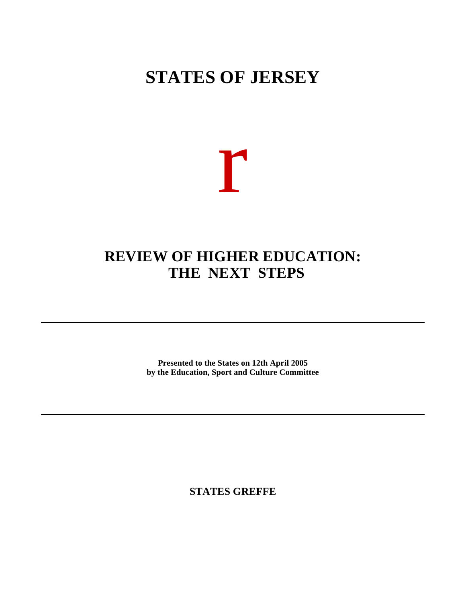# **STATES OF JERSEY**



### **REVIEW OF HIGHER EDUCATION: THE NEXT STEPS**

**Presented to the States on 12th April 2005 by the Education, Sport and Culture Committee**

**STATES GREFFE**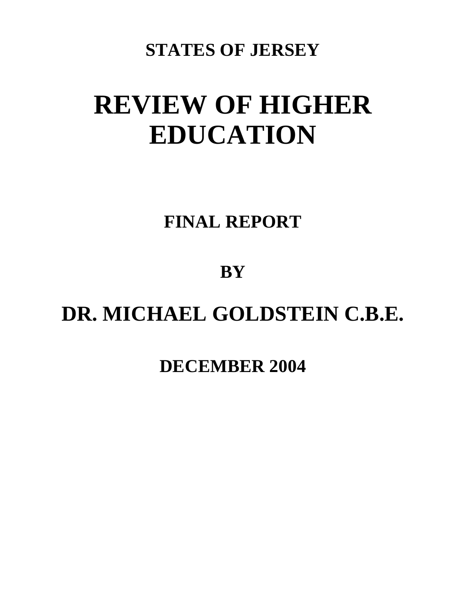## **STATES OF JERSEY**

# **REVIEW OF HIGHER EDUCATION**

# **FINAL REPORT**

# **BY**

# **DR. MICHAEL GOLDSTEIN C.B.E.**

### **DECEMBER 2004**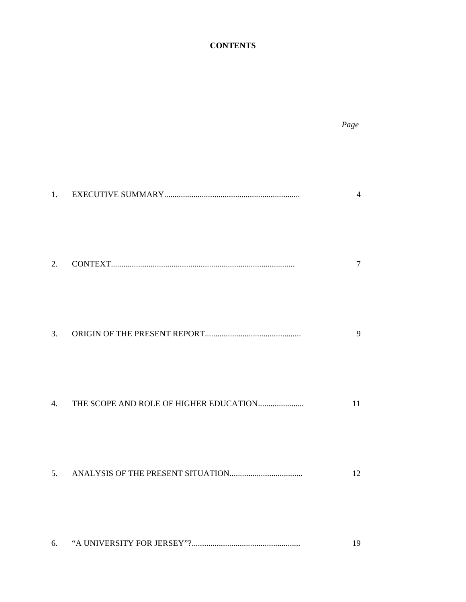### **CONTENTS**

*Page*

|    | $\overline{4}$ |
|----|----------------|
|    | 7              |
|    | 9              |
|    | 11             |
|    | 12             |
| 6. | 19             |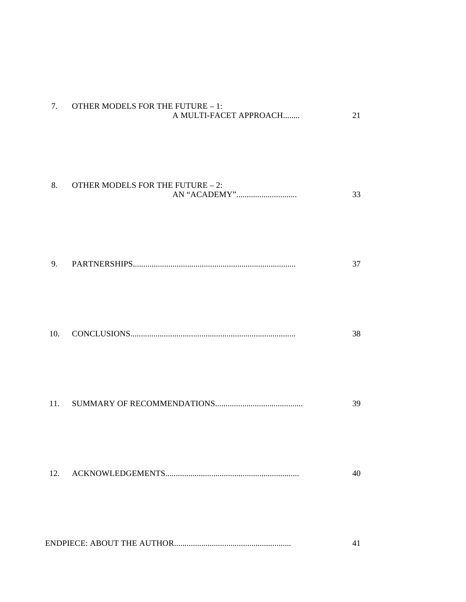| 7.  | <b>OTHER MODELS FOR THE FUTURE - 1:</b><br>A MULTI-FACET APPROACH | 21 |
|-----|-------------------------------------------------------------------|----|
| 8.  | <b>OTHER MODELS FOR THE FUTURE - 2:</b>                           | 33 |
| 9.  |                                                                   | 37 |
| 10. |                                                                   | 38 |
| 11. |                                                                   | 39 |
| 12. |                                                                   | 40 |
|     |                                                                   | 41 |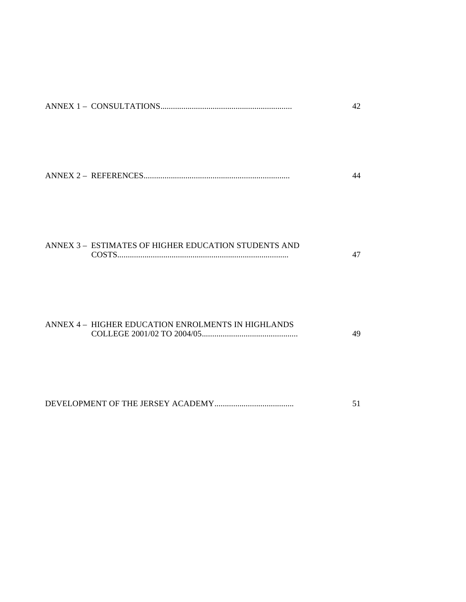|                                                      | 44 |
|------------------------------------------------------|----|
| ANNEX 3 - ESTIMATES OF HIGHER EDUCATION STUDENTS AND | 47 |
| ANNEX 4 - HIGHER EDUCATION ENROLMENTS IN HIGHLANDS   | 49 |

DEVELOPMENT OF THE JERSEY ACADEMY...................................... 51

ANNEX 1 – CONSULTATIONS............................................................... 42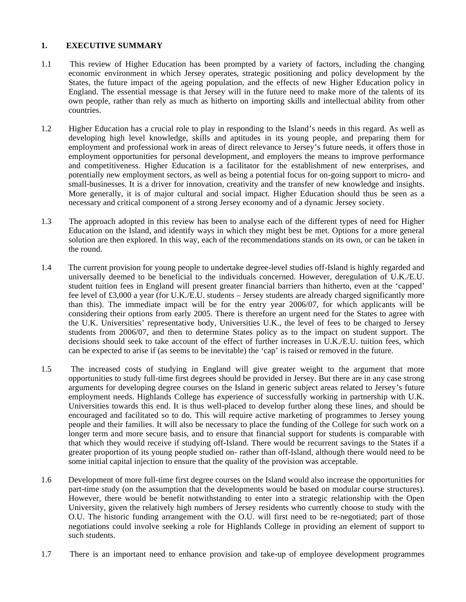#### **1. EXECUTIVE SUMMARY**

- 1.1 This review of Higher Education has been prompted by a variety of factors, including the changing economic environment in which Jersey operates, strategic positioning and policy development by the States, the future impact of the ageing population, and the effects of new Higher Education policy in England. The essential message is that Jersey will in the future need to make more of the talents of its own people, rather than rely as much as hitherto on importing skills and intellectual ability from other countries.
- 1.2 Higher Education has a crucial role to play in responding to the Island's needs in this regard. As well as developing high level knowledge, skills and aptitudes in its young people, and preparing them for employment and professional work in areas of direct relevance to Jersey's future needs, it offers those in employment opportunities for personal development, and employers the means to improve performance and competitiveness. Higher Education is a facilitator for the establishment of new enterprises, and potentially new employment sectors, as well as being a potential focus for on-going support to micro- and small-businesses. It is a driver for innovation, creativity and the transfer of new knowledge and insights. More generally, it is of major cultural and social impact. Higher Education should thus be seen as a necessary and critical component of a strong Jersey economy and of a dynamic Jersey society.
- 1.3 The approach adopted in this review has been to analyse each of the different types of need for Higher Education on the Island, and identify ways in which they might best be met. Options for a more general solution are then explored. In this way, each of the recommendations stands on its own, or can be taken in the round.
- 1.4 The current provision for young people to undertake degree-level studies off-Island is highly regarded and universally deemed to be beneficial to the individuals concerned. However, deregulation of U.K./E.U. student tuition fees in England will present greater financial barriers than hitherto, even at the 'capped' fee level of £3,000 a year (for U.K./E.U. students – Jersey students are already charged significantly more than this). The immediate impact will be for the entry year 2006/07, for which applicants will be considering their options from early 2005. There is therefore an urgent need for the States to agree with the U.K. Universities' representative body, Universities U.K., the level of fees to be charged to Jersey students from 2006/07, and then to determine States policy as to the impact on student support. The decisions should seek to take account of the effect of further increases in U.K./E.U. tuition fees, which can be expected to arise if (as seems to be inevitable) the 'cap' is raised or removed in the future.
- 1.5 The increased costs of studying in England will give greater weight to the argument that more opportunities to study full-time first degrees should be provided in Jersey. But there are in any case strong arguments for developing degree courses on the Island in generic subject areas related to Jersey's future employment needs. Highlands College has experience of successfully working in partnership with U.K. Universities towards this end. It is thus well-placed to develop further along these lines, and should be encouraged and facilitated so to do. This will require active marketing of programmes to Jersey young people and their families. It will also be necessary to place the funding of the College for such work on a longer term and more secure basis, and to ensure that financial support for students is comparable with that which they would receive if studying off-Island. There would be recurrent savings to the States if a greater proportion of its young people studied on- rather than off-Island, although there would need to be some initial capital injection to ensure that the quality of the provision was acceptable.
- 1.6 Development of more full-time first degree courses on the Island would also increase the opportunities for part-time study (on the assumption that the developments would be based on modular course structures). However, there would be benefit notwithstanding to enter into a strategic relationship with the Open University, given the relatively high numbers of Jersey residents who currently choose to study with the O.U. The historic funding arrangement with the O.U. will first need to be re-negotiated; part of those negotiations could involve seeking a role for Highlands College in providing an element of support to such students.
- 1.7 There is an important need to enhance provision and take-up of employee development programmes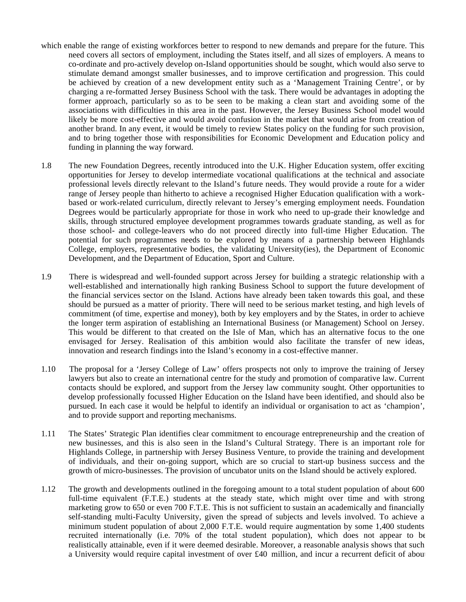- which enable the range of existing workforces better to respond to new demands and prepare for the future. This need covers all sectors of employment, including the States itself, and all sizes of employers. A means to co-ordinate and pro-actively develop on-Island opportunities should be sought, which would also serve to stimulate demand amongst smaller businesses, and to improve certification and progression. This could be achieved by creation of a new development entity such as a 'Management Training Centre', or by charging a re-formatted Jersey Business School with the task. There would be advantages in adopting the former approach, particularly so as to be seen to be making a clean start and avoiding some of the associations with difficulties in this area in the past. However, the Jersey Business School model would likely be more cost-effective and would avoid confusion in the market that would arise from creation of another brand. In any event, it would be timely to review States policy on the funding for such provision, and to bring together those with responsibilities for Economic Development and Education policy and funding in planning the way forward.
- 1.8 The new Foundation Degrees, recently introduced into the U.K. Higher Education system, offer exciting opportunities for Jersey to develop intermediate vocational qualifications at the technical and associate professional levels directly relevant to the Island's future needs. They would provide a route for a wider range of Jersey people than hitherto to achieve a recognised Higher Education qualification with a workbased or work-related curriculum, directly relevant to Jersey's emerging employment needs. Foundation Degrees would be particularly appropriate for those in work who need to up-grade their knowledge and skills, through structured employee development programmes towards graduate standing, as well as for those school- and college-leavers who do not proceed directly into full-time Higher Education. The potential for such programmes needs to be explored by means of a partnership between Highlands College, employers, representative bodies, the validating University(ies), the Department of Economic Development, and the Department of Education, Sport and Culture.
- 1.9 There is widespread and well-founded support across Jersey for building a strategic relationship with a well-established and internationally high ranking Business School to support the future development of the financial services sector on the Island. Actions have already been taken towards this goal, and these should be pursued as a matter of priority. There will need to be serious market testing, and high levels of commitment (of time, expertise and money), both by key employers and by the States, in order to achieve the longer term aspiration of establishing an International Business (or Management) School on Jersey. This would be different to that created on the Isle of Man, which has an alternative focus to the one envisaged for Jersey. Realisation of this ambition would also facilitate the transfer of new ideas, innovation and research findings into the Island's economy in a cost-effective manner.
- 1.10 The proposal for a 'Jersey College of Law' offers prospects not only to improve the training of Jersey lawyers but also to create an international centre for the study and promotion of comparative law. Current contacts should be explored, and support from the Jersey law community sought. Other opportunities to develop professionally focussed Higher Education on the Island have been identified, and should also be pursued. In each case it would be helpful to identify an individual or organisation to act as 'champion', and to provide support and reporting mechanisms.
- 1.11 The States' Strategic Plan identifies clear commitment to encourage entrepreneurship and the creation of new businesses, and this is also seen in the Island's Cultural Strategy. There is an important role for Highlands College, in partnership with Jersey Business Venture, to provide the training and development of individuals, and their on-going support, which are so crucial to start-up business success and the growth of micro-businesses. The provision of uncubator units on the Island should be actively explored.
- 1.12 The growth and developments outlined in the foregoing amount to a total student population of about 600 full-time equivalent (F.T.E.) students at the steady state, which might over time and with strong marketing grow to 650 or even 700 F.T.E. This is not sufficient to sustain an academically and financially self-standing multi-Faculty University, given the spread of subjects and levels involved. To achieve a minimum student population of about 2,000 F.T.E. would require augmentation by some 1,400 students recruited internationally (i.e. 70% of the total student population), which does not appear to be realistically attainable, even if it were deemed desirable. Moreover, a reasonable analysis shows that such a University would require capital investment of over £40 million, and incur a recurrent deficit of about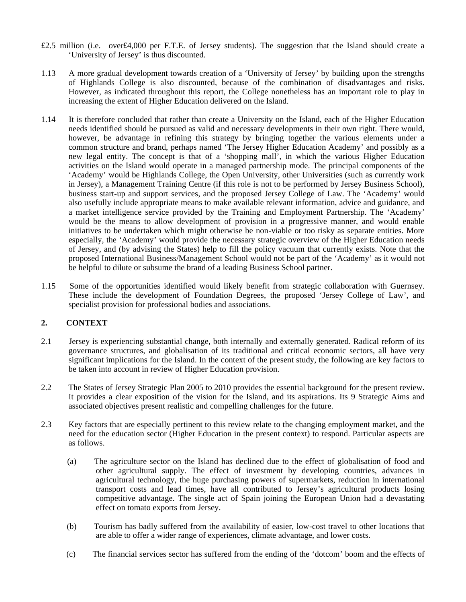- £2.5 million (i.e. over£4,000 per F.T.E. of Jersey students). The suggestion that the Island should create a 'University of Jersey' is thus discounted.
- 1.13 A more gradual development towards creation of a 'University of Jersey' by building upon the strengths of Highlands College is also discounted, because of the combination of disadvantages and risks. However, as indicated throughout this report, the College nonetheless has an important role to play in increasing the extent of Higher Education delivered on the Island.
- 1.14 It is therefore concluded that rather than create a University on the Island, each of the Higher Education needs identified should be pursued as valid and necessary developments in their own right. There would, however, be advantage in refining this strategy by bringing together the various elements under a common structure and brand, perhaps named 'The Jersey Higher Education Academy' and possibly as a new legal entity. The concept is that of a 'shopping mall', in which the various Higher Education activities on the Island would operate in a managed partnership mode. The principal components of the 'Academy' would be Highlands College, the Open University, other Universities (such as currently work in Jersey), a Management Training Centre (if this role is not to be performed by Jersey Business School), business start-up and support services, and the proposed Jersey College of Law. The 'Academy' would also usefully include appropriate means to make available relevant information, advice and guidance, and a market intelligence service provided by the Training and Employment Partnership. The 'Academy' would be the means to allow development of provision in a progressive manner, and would enable initiatives to be undertaken which might otherwise be non-viable or too risky as separate entities. More especially, the 'Academy' would provide the necessary strategic overview of the Higher Education needs of Jersey, and (by advising the States) help to fill the policy vacuum that currently exists. Note that the proposed International Business/Management School would not be part of the 'Academy' as it would not be helpful to dilute or subsume the brand of a leading Business School partner.
- 1.15 Some of the opportunities identified would likely benefit from strategic collaboration with Guernsey. These include the development of Foundation Degrees, the proposed 'Jersey College of Law', and specialist provision for professional bodies and associations.

#### **2. CONTEXT**

- 2.1 Jersey is experiencing substantial change, both internally and externally generated. Radical reform of its governance structures, and globalisation of its traditional and critical economic sectors, all have very significant implications for the Island. In the context of the present study, the following are key factors to be taken into account in review of Higher Education provision.
- 2.2 The States of Jersey Strategic Plan 2005 to 2010 provides the essential background for the present review. It provides a clear exposition of the vision for the Island, and its aspirations. Its 9 Strategic Aims and associated objectives present realistic and compelling challenges for the future.
- 2.3 Key factors that are especially pertinent to this review relate to the changing employment market, and the need for the education sector (Higher Education in the present context) to respond. Particular aspects are as follows.
	- (a) The agriculture sector on the Island has declined due to the effect of globalisation of food and other agricultural supply. The effect of investment by developing countries, advances in agricultural technology, the huge purchasing powers of supermarkets, reduction in international transport costs and lead times, have all contributed to Jersey's agricultural products losing competitive advantage. The single act of Spain joining the European Union had a devastating effect on tomato exports from Jersey.
	- (b) Tourism has badly suffered from the availability of easier, low-cost travel to other locations that are able to offer a wider range of experiences, climate advantage, and lower costs.
	- (c) The financial services sector has suffered from the ending of the 'dotcom' boom and the effects of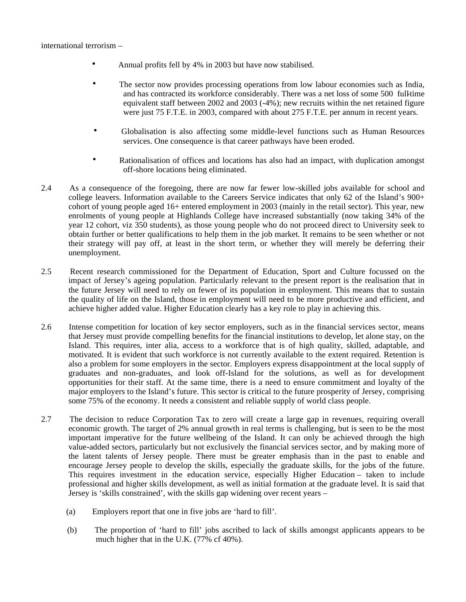- Annual profits fell by 4% in 2003 but have now stabilised.
- The sector now provides processing operations from low labour economies such as India, and has contracted its workforce considerably. There was a net loss of some 500 full-time equivalent staff between 2002 and 2003 (-4%); new recruits within the net retained figure were just 75 F.T.E. in 2003, compared with about 275 F.T.E. per annum in recent years.
- Globalisation is also affecting some middle-level functions such as Human Resources services. One consequence is that career pathways have been eroded.
- Rationalisation of offices and locations has also had an impact, with duplication amongst off-shore locations being eliminated.
- 2.4 As a consequence of the foregoing, there are now far fewer low-skilled jobs available for school and college leavers. Information available to the Careers Service indicates that only 62 of the Island's 900+ cohort of young people aged 16+ entered employment in 2003 (mainly in the retail sector). This year, new enrolments of young people at Highlands College have increased substantially (now taking 34% of the year 12 cohort, viz 350 students), as those young people who do not proceed direct to University seek to obtain further or better qualifications to help them in the job market. It remains to be seen whether or not their strategy will pay off, at least in the short term, or whether they will merely be deferring their unemployment.
- 2.5 Recent research commissioned for the Department of Education, Sport and Culture focussed on the impact of Jersey's ageing population. Particularly relevant to the present report is the realisation that in the future Jersey will need to rely on fewer of its population in employment. This means that to sustain the quality of life on the Island, those in employment will need to be more productive and efficient, and achieve higher added value. Higher Education clearly has a key role to play in achieving this.
- 2.6 Intense competition for location of key sector employers, such as in the financial services sector, means that Jersey must provide compelling benefits for the financial institutions to develop, let alone stay, on the Island. This requires, inter alia, access to a workforce that is of high quality, skilled, adaptable, and motivated. It is evident that such workforce is not currently available to the extent required. Retention is also a problem for some employers in the sector. Employers express disappointment at the local supply of graduates and non-graduates, and look off-Island for the solutions, as well as for development opportunities for their staff. At the same time, there is a need to ensure commitment and loyalty of the major employers to the Island's future. This sector is critical to the future prosperity of Jersey, comprising some 75% of the economy. It needs a consistent and reliable supply of world class people.
- 2.7 The decision to reduce Corporation Tax to zero will create a large gap in revenues, requiring overall economic growth. The target of 2% annual growth in real terms is challenging, but is seen to be the most important imperative for the future wellbeing of the Island. It can only be achieved through the high value-added sectors, particularly but not exclusively the financial services sector, and by making more of the latent talents of Jersey people. There must be greater emphasis than in the past to enable and encourage Jersey people to develop the skills, especially the graduate skills, for the jobs of the future. This requires investment in the education service, especially Higher Education – taken to include professional and higher skills development, as well as initial formation at the graduate level. It is said that Jersey is 'skills constrained', with the skills gap widening over recent years –
	- (a) Employers report that one in five jobs are 'hard to fill'.
	- (b) The proportion of 'hard to fill' jobs ascribed to lack of skills amongst applicants appears to be much higher that in the U.K. (77% cf 40%).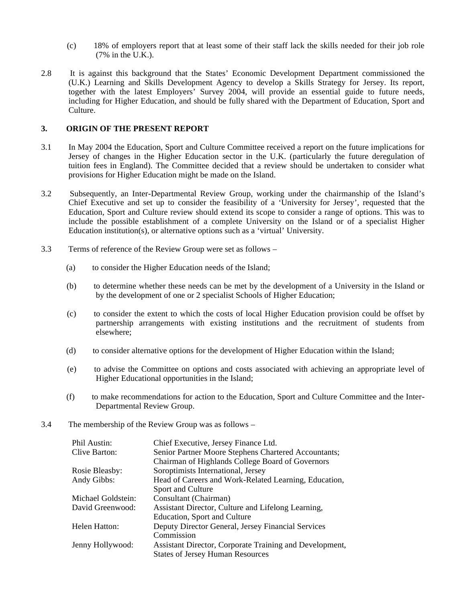- (c) 18% of employers report that at least some of their staff lack the skills needed for their job role (7% in the U.K.).
- 2.8 It is against this background that the States' Economic Development Department commissioned the (U.K.) Learning and Skills Development Agency to develop a Skills Strategy for Jersey. Its report, together with the latest Employers' Survey 2004, will provide an essential guide to future needs, including for Higher Education, and should be fully shared with the Department of Education, Sport and Culture.

#### **3. ORIGIN OF THE PRESENT REPORT**

- 3.1 In May 2004 the Education, Sport and Culture Committee received a report on the future implications for Jersey of changes in the Higher Education sector in the U.K. (particularly the future deregulation of tuition fees in England). The Committee decided that a review should be undertaken to consider what provisions for Higher Education might be made on the Island.
- 3.2 Subsequently, an Inter-Departmental Review Group, working under the chairmanship of the Island's Chief Executive and set up to consider the feasibility of a 'University for Jersey', requested that the Education, Sport and Culture review should extend its scope to consider a range of options. This was to include the possible establishment of a complete University on the Island or of a specialist Higher Education institution(s), or alternative options such as a 'virtual' University.
- 3.3 Terms of reference of the Review Group were set as follows
	- (a) to consider the Higher Education needs of the Island;
	- (b) to determine whether these needs can be met by the development of a University in the Island or by the development of one or 2 specialist Schools of Higher Education;
	- (c) to consider the extent to which the costs of local Higher Education provision could be offset by partnership arrangements with existing institutions and the recruitment of students from elsewhere;
	- (d) to consider alternative options for the development of Higher Education within the Island;
	- (e) to advise the Committee on options and costs associated with achieving an appropriate level of Higher Educational opportunities in the Island;
	- (f) to make recommendations for action to the Education, Sport and Culture Committee and the Inter-Departmental Review Group.
- 3.4 The membership of the Review Group was as follows –

| Phil Austin:       | Chief Executive, Jersey Finance Ltd.                    |
|--------------------|---------------------------------------------------------|
| Clive Barton:      | Senior Partner Moore Stephens Chartered Accountants;    |
|                    | Chairman of Highlands College Board of Governors        |
| Rosie Bleasby:     | Soroptimists International, Jersey                      |
| Andy Gibbs:        | Head of Careers and Work-Related Learning, Education,   |
|                    | Sport and Culture                                       |
| Michael Goldstein: | Consultant (Chairman)                                   |
| David Greenwood:   | Assistant Director, Culture and Lifelong Learning,      |
|                    | Education, Sport and Culture                            |
| Helen Hatton:      | Deputy Director General, Jersey Financial Services      |
|                    | Commission                                              |
| Jenny Hollywood:   | Assistant Director, Corporate Training and Development, |
|                    | <b>States of Jersey Human Resources</b>                 |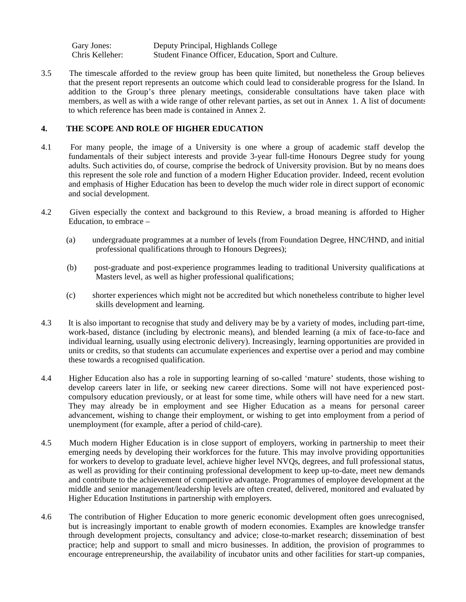Gary Jones: Deputy Principal, Highlands College<br>Chris Kelleher: Student Finance Officer, Education, S Student Finance Officer, Education, Sport and Culture.

3.5 The timescale afforded to the review group has been quite limited, but nonetheless the Group believes that the present report represents an outcome which could lead to considerable progress for the Island. In addition to the Group's three plenary meetings, considerable consultations have taken place with members, as well as with a wide range of other relevant parties, as set out in Annex 1. A list of documents to which reference has been made is contained in Annex 2.

#### **4. THE SCOPE AND ROLE OF HIGHER EDUCATION**

- 4.1 For many people, the image of a University is one where a group of academic staff develop the fundamentals of their subject interests and provide 3-year full-time Honours Degree study for young adults. Such activities do, of course, comprise the bedrock of University provision. But by no means does this represent the sole role and function of a modern Higher Education provider. Indeed, recent evolution and emphasis of Higher Education has been to develop the much wider role in direct support of economic and social development.
- 4.2 Given especially the context and background to this Review, a broad meaning is afforded to Higher Education, to embrace –
	- (a) undergraduate programmes at a number of levels (from Foundation Degree, HNC/HND, and initial professional qualifications through to Honours Degrees);
	- (b) post-graduate and post-experience programmes leading to traditional University qualifications at Masters level, as well as higher professional qualifications;
	- (c) shorter experiences which might not be accredited but which nonetheless contribute to higher level skills development and learning.
- 4.3 It is also important to recognise that study and delivery may be by a variety of modes, including part-time, work-based, distance (including by electronic means), and blended learning (a mix of face-to-face and individual learning, usually using electronic delivery). Increasingly, learning opportunities are provided in units or credits, so that students can accumulate experiences and expertise over a period and may combine these towards a recognised qualification.
- 4.4 Higher Education also has a role in supporting learning of so-called 'mature' students, those wishing to develop careers later in life, or seeking new career directions. Some will not have experienced postcompulsory education previously, or at least for some time, while others will have need for a new start. They may already be in employment and see Higher Education as a means for personal career advancement, wishing to change their employment, or wishing to get into employment from a period of unemployment (for example, after a period of child-care).
- 4.5 Much modern Higher Education is in close support of employers, working in partnership to meet their emerging needs by developing their workforces for the future. This may involve providing opportunities for workers to develop to graduate level, achieve higher level NVQs, degrees, and full professional status, as well as providing for their continuing professional development to keep up-to-date, meet new demands and contribute to the achievement of competitive advantage. Programmes of employee development at the middle and senior management/leadership levels are often created, delivered, monitored and evaluated by Higher Education Institutions in partnership with employers.
- 4.6 The contribution of Higher Education to more generic economic development often goes unrecognised, but is increasingly important to enable growth of modern economies. Examples are knowledge transfer through development projects, consultancy and advice; close-to-market research; dissemination of best practice; help and support to small and micro businesses. In addition, the provision of programmes to encourage entrepreneurship, the availability of incubator units and other facilities for start-up companies,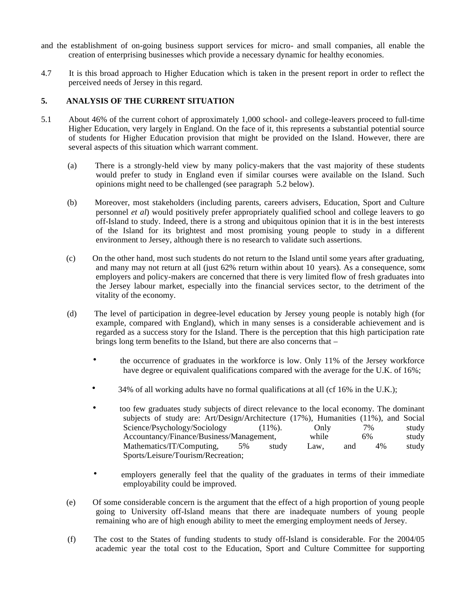- and the establishment of on-going business support services for micro- and small companies, all enable the creation of enterprising businesses which provide a necessary dynamic for healthy economies.
- 4.7 It is this broad approach to Higher Education which is taken in the present report in order to reflect the perceived needs of Jersey in this regard.

#### **5. ANALYSIS OF THE CURRENT SITUATION**

- 5.1 About 46% of the current cohort of approximately 1,000 school- and college-leavers proceed to full-time Higher Education, very largely in England. On the face of it, this represents a substantial potential source of students for Higher Education provision that might be provided on the Island. However, there are several aspects of this situation which warrant comment.
	- (a) There is a strongly-held view by many policy-makers that the vast majority of these students would prefer to study in England even if similar courses were available on the Island. Such opinions might need to be challenged (see paragraph 5.2 below).
	- (b) Moreover, most stakeholders (including parents, careers advisers, Education, Sport and Culture personnel *et al*) would positively prefer appropriately qualified school and college leavers to go off-Island to study. Indeed, there is a strong and ubiquitous opinion that it is in the best interests of the Island for its brightest and most promising young people to study in a different environment to Jersey, although there is no research to validate such assertions.
	- (c) On the other hand, most such students do not return to the Island until some years after graduating, and many may not return at all (just 62% return within about 10 years). As a consequence, some employers and policy-makers are concerned that there is very limited flow of fresh graduates into the Jersey labour market, especially into the financial services sector, to the detriment of the vitality of the economy.
	- (d) The level of participation in degree-level education by Jersey young people is notably high (for example, compared with England), which in many senses is a considerable achievement and is regarded as a success story for the Island. There is the perception that this high participation rate brings long term benefits to the Island, but there are also concerns that –
		- the occurrence of graduates in the workforce is low. Only 11% of the Jersey workforce have degree or equivalent qualifications compared with the average for the U.K. of 16%;
		- 34% of all working adults have no formal qualifications at all (cf  $16\%$  in the U.K.);
		- too few graduates study subjects of direct relevance to the local economy. The dominant subjects of study are: Art/Design/Architecture (17%), Humanities (11%), and Social Science/Psychology/Sociology (11%). Only 7% study Accountancy/Finance/Business/Management, while 6% study Mathematics/IT/Computing, 5% study Law, and 4% study Sports/Leisure/Tourism/Recreation;
		- employers generally feel that the quality of the graduates in terms of their immediate employability could be improved.
	- (e) Of some considerable concern is the argument that the effect of a high proportion of young people going to University off-Island means that there are inadequate numbers of young people remaining who are of high enough ability to meet the emerging employment needs of Jersey.
	- (f) The cost to the States of funding students to study off-Island is considerable. For the 2004/05 academic year the total cost to the Education, Sport and Culture Committee for supporting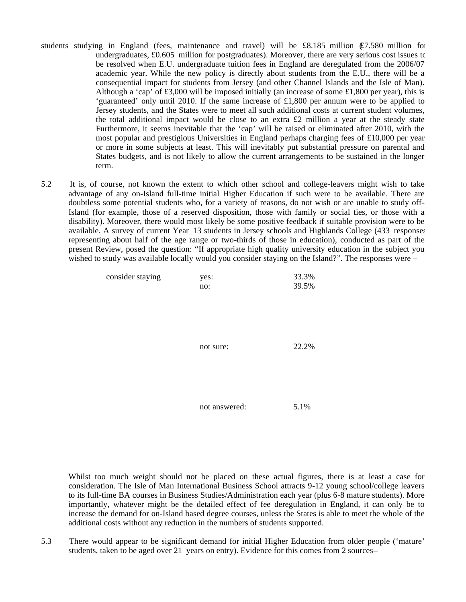- students studying in England (fees, maintenance and travel) will be £8.185 million  $\mathcal{E}7.580$  million for undergraduates,  $\text{\pounds}0.605$  million for postgraduates). Moreover, there are very serious cost issues to be resolved when E.U. undergraduate tuition fees in England are deregulated from the 2006/07 academic year. While the new policy is directly about students from the E.U., there will be a consequential impact for students from Jersey (and other Channel Islands and the Isle of Man). Although a 'cap' of £3,000 will be imposed initially (an increase of some £1,800 per year), this is 'guaranteed' only until 2010. If the same increase of £1,800 per annum were to be applied to Jersey students, and the States were to meet all such additional costs at current student volumes, the total additional impact would be close to an extra  $£2$  million a year at the steady state. Furthermore, it seems inevitable that the 'cap' will be raised or eliminated after 2010, with the most popular and prestigious Universities in England perhaps charging fees of £10,000 per year or more in some subjects at least. This will inevitably put substantial pressure on parental and States budgets, and is not likely to allow the current arrangements to be sustained in the longer term.
- 5.2 It is, of course, not known the extent to which other school and college-leavers might wish to take advantage of any on-Island full-time initial Higher Education if such were to be available. There are doubtless some potential students who, for a variety of reasons, do not wish or are unable to study off-Island (for example, those of a reserved disposition, those with family or social ties, or those with a disability). Moreover, there would most likely be some positive feedback if suitable provision were to be available. A survey of current Year 13 students in Jersey schools and Highlands College (433 responses, representing about half of the age range or two-thirds of those in education), conducted as part of the present Review, posed the question: "If appropriate high quality university education in the subject you wished to study was available locally would you consider staying on the Island?". The responses were –

| consider staying | yes:<br>no:   | 33.3%<br>39.5% |
|------------------|---------------|----------------|
|                  |               |                |
|                  |               |                |
|                  |               |                |
|                  | not sure:     | 22.2%          |
|                  |               |                |
|                  |               |                |
|                  |               |                |
|                  | not answered: | 5.1%           |

 Whilst too much weight should not be placed on these actual figures, there is at least a case for consideration. The Isle of Man International Business School attracts 9-12 young school/college leavers to its full-time BA courses in Business Studies/Administration each year (plus 6-8 mature students). More importantly, whatever might be the detailed effect of fee deregulation in England, it can only be to increase the demand for on-Island based degree courses, unless the States is able to meet the whole of the additional costs without any reduction in the numbers of students supported.

5.3 There would appear to be significant demand for initial Higher Education from older people ('mature' students, taken to be aged over 21 years on entry). Evidence for this comes from 2 sources –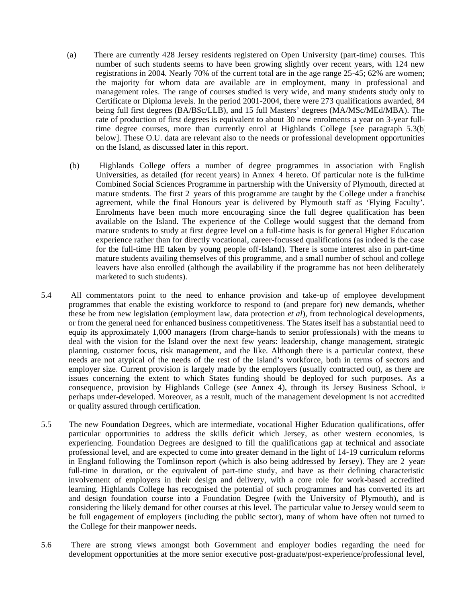- (a) There are currently 428 Jersey residents registered on Open University (part-time) courses. This number of such students seems to have been growing slightly over recent years, with 124 new registrations in 2004. Nearly 70% of the current total are in the age range 25-45; 62% are women; the majority for whom data are available are in employment, many in professional and management roles. The range of courses studied is very wide, and many students study only to Certificate or Diploma levels. In the period 2001-2004, there were 273 qualifications awarded, 84 being full first degrees (BA/BSc/LLB), and 15 full Masters' degrees (MA/MSc/MEd/MBA). The rate of production of first degrees is equivalent to about 30 new enrolments a year on 3-year fulltime degree courses, more than currently enrol at Highlands College [see paragraph 5.3(b) below]. These O.U. data are relevant also to the needs or professional development opportunities on the Island, as discussed later in this report.
- (b) Highlands College offers a number of degree programmes in association with English Universities, as detailed (for recent years) in Annex 4 hereto. Of particular note is the full-time Combined Social Sciences Programme in partnership with the University of Plymouth, directed at mature students. The first 2 years of this programme are taught by the College under a franchise agreement, while the final Honours year is delivered by Plymouth staff as 'Flying Faculty'. Enrolments have been much more encouraging since the full degree qualification has been available on the Island. The experience of the College would suggest that the demand from mature students to study at first degree level on a full-time basis is for general Higher Education experience rather than for directly vocational, career-focussed qualifications (as indeed is the case for the full-time HE taken by young people off-Island). There is some interest also in part-time mature students availing themselves of this programme, and a small number of school and college leavers have also enrolled (although the availability if the programme has not been deliberately marketed to such students).
- 5.4 All commentators point to the need to enhance provision and take-up of employee development programmes that enable the existing workforce to respond to (and prepare for) new demands, whether these be from new legislation (employment law, data protection *et al*), from technological developments, or from the general need for enhanced business competitiveness. The States itself has a substantial need to equip its approximately 1,000 managers (from charge-hands to senior professionals) with the means to deal with the vision for the Island over the next few years: leadership, change management, strategic planning, customer focus, risk management, and the like. Although there is a particular context, these needs are not atypical of the needs of the rest of the Island's workforce, both in terms of sectors and employer size. Current provision is largely made by the employers (usually contracted out), as there are issues concerning the extent to which States funding should be deployed for such purposes. As a consequence, provision by Highlands College (see Annex 4), through its Jersey Business School, is perhaps under-developed. Moreover, as a result, much of the management development is not accredited or quality assured through certification.
- 5.5 The new Foundation Degrees, which are intermediate, vocational Higher Education qualifications, offer particular opportunities to address the skills deficit which Jersey, as other western economies, is experiencing. Foundation Degrees are designed to fill the qualifications gap at technical and associate professional level, and are expected to come into greater demand in the light of 14-19 curriculum reforms in England following the Tomlinson report (which is also being addressed by Jersey). They are 2 years full-time in duration, or the equivalent of part-time study, and have as their defining characteristic involvement of employers in their design and delivery, with a core role for work-based accredited learning. Highlands College has recognised the potential of such programmes and has converted its art and design foundation course into a Foundation Degree (with the University of Plymouth), and is considering the likely demand for other courses at this level. The particular value to Jersey would seem to be full engagement of employers (including the public sector), many of whom have often not turned to the College for their manpower needs.
- 5.6 There are strong views amongst both Government and employer bodies regarding the need for development opportunities at the more senior executive post-graduate/post-experience/professional level,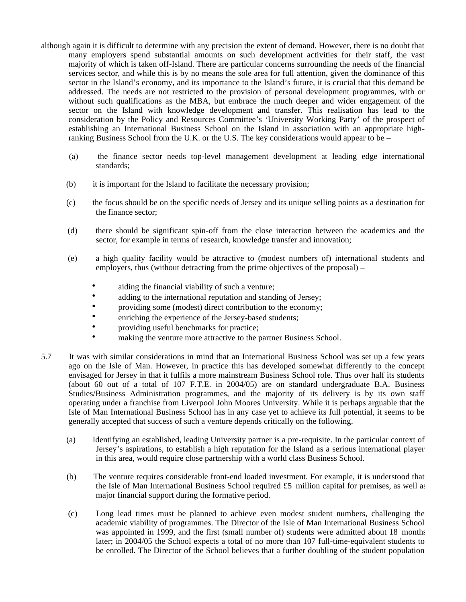- although again it is difficult to determine with any precision the extent of demand. However, there is no doubt that many employers spend substantial amounts on such development activities for their staff, the vast majority of which is taken off-Island. There are particular concerns surrounding the needs of the financial services sector, and while this is by no means the sole area for full attention, given the dominance of this sector in the Island's economy, and its importance to the Island's future, it is crucial that this demand be addressed. The needs are not restricted to the provision of personal development programmes, with or without such qualifications as the MBA, but embrace the much deeper and wider engagement of the sector on the Island with knowledge development and transfer. This realisation has lead to the consideration by the Policy and Resources Committee's 'University Working Party' of the prospect of establishing an International Business School on the Island in association with an appropriate highranking Business School from the U.K. or the U.S. The key considerations would appear to be –
	- (a) the finance sector needs top-level management development at leading edge international standards;
	- (b) it is important for the Island to facilitate the necessary provision;
	- (c) the focus should be on the specific needs of Jersey and its unique selling points as a destination for the finance sector;
	- (d) there should be significant spin-off from the close interaction between the academics and the sector, for example in terms of research, knowledge transfer and innovation;
	- (e) a high quality facility would be attractive to (modest numbers of) international students and employers, thus (without detracting from the prime objectives of the proposal) –
		- aiding the financial viability of such a venture;
		- adding to the international reputation and standing of Jersey;
		- providing some (modest) direct contribution to the economy;
		- enriching the experience of the Jersey-based students;
		- providing useful benchmarks for practice;
		- making the venture more attractive to the partner Business School.
- 5.7 It was with similar considerations in mind that an International Business School was set up a few years ago on the Isle of Man. However, in practice this has developed somewhat differently to the concept envisaged for Jersey in that it fulfils a more mainstream Business School role. Thus over half its students (about 60 out of a total of 107 F.T.E. in 2004/05) are on standard undergraduate B.A. Business Studies/Business Administration programmes, and the majority of its delivery is by its own staff operating under a franchise from Liverpool John Moores University. While it is perhaps arguable that the Isle of Man International Business School has in any case yet to achieve its full potential, it seems to be generally accepted that success of such a venture depends critically on the following.
	- (a) Identifying an established, leading University partner is a pre-requisite. In the particular context of Jersey's aspirations, to establish a high reputation for the Island as a serious international player in this area, would require close partnership with a world class Business School.
	- (b) The venture requires considerable front-end loaded investment. For example, it is understood that the Isle of Man International Business School required £5 million capital for premises, as well as major financial support during the formative period.
	- (c) Long lead times must be planned to achieve even modest student numbers, challenging the academic viability of programmes. The Director of the Isle of Man International Business School was appointed in 1999, and the first (small number of) students were admitted about 18 months later; in 2004/05 the School expects a total of no more than 107 full-time-equivalent students to be enrolled. The Director of the School believes that a further doubling of the student population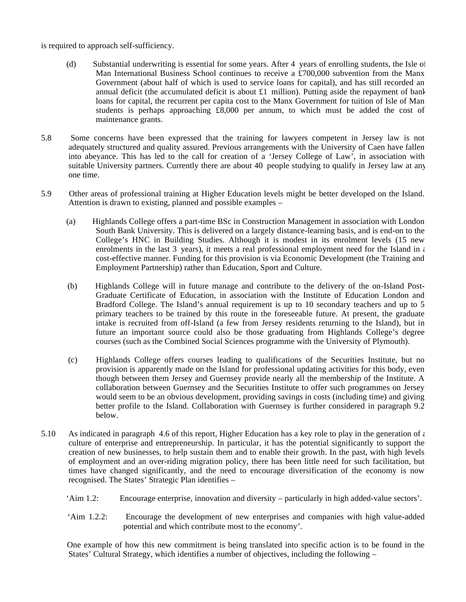is required to approach self-sufficiency.

- (d) Substantial underwriting is essential for some years. After 4 years of enrolling students, the Isle of Man International Business School continues to receive a £700,000 subvention from the Manx Government (about half of which is used to service loans for capital), and has still recorded an annual deficit (the accumulated deficit is about  $\pounds1$  million). Putting aside the repayment of bank loans for capital, the recurrent per capita cost to the Manx Government for tuition of Isle of Man students is perhaps approaching  $\text{\pounds}8,000$  per annum, to which must be added the cost of maintenance grants.
- 5.8 Some concerns have been expressed that the training for lawyers competent in Jersey law is not adequately structured and quality assured. Previous arrangements with the University of Caen have fallen into abeyance. This has led to the call for creation of a 'Jersey College of Law', in association with suitable University partners. Currently there are about 40 people studying to qualify in Jersey law at any one time.
- 5.9 Other areas of professional training at Higher Education levels might be better developed on the Island. Attention is drawn to existing, planned and possible examples –
	- (a) Highlands College offers a part-time BSc in Construction Management in association with London South Bank University. This is delivered on a largely distance-learning basis, and is end-on to the College's HNC in Building Studies. Although it is modest in its enrolment levels (15 new enrolments in the last 3 years), it meets a real professional employment need for the Island in  $\epsilon$ cost-effective manner. Funding for this provision is via Economic Development (the Training and Employment Partnership) rather than Education, Sport and Culture.
	- (b) Highlands College will in future manage and contribute to the delivery of the on-Island Post-Graduate Certificate of Education, in association with the Institute of Education London and Bradford College. The Island's annual requirement is up to 10 secondary teachers and up to 5 primary teachers to be trained by this route in the foreseeable future. At present, the graduate intake is recruited from off-Island (a few from Jersey residents returning to the Island), but in future an important source could also be those graduating from Highlands College's degree courses (such as the Combined Social Sciences programme with the University of Plymouth).
	- (c) Highlands College offers courses leading to qualifications of the Securities Institute, but no provision is apparently made on the Island for professional updating activities for this body, even though between them Jersey and Guernsey provide nearly all the membership of the Institute. A collaboration between Guernsey and the Securities Institute to offer such programmes on Jersey would seem to be an obvious development, providing savings in costs (including time) and giving better profile to the Island. Collaboration with Guernsey is further considered in paragraph 9.2 below.
- 5.10 As indicated in paragraph 4.6 of this report, Higher Education has a key role to play in the generation of  $\epsilon$ culture of enterprise and entrepreneurship. In particular, it has the potential significantly to support the creation of new businesses, to help sustain them and to enable their growth. In the past, with high levels of employment and an over-riding migration policy, there has been little need for such facilitation, but times have changed significantly, and the need to encourage diversification of the economy is now recognised. The States' Strategic Plan identifies –
	- 'Aim 1.2: Encourage enterprise, innovation and diversity particularly in high added-value sectors'.
	- 'Aim 1.2.2: Encourage the development of new enterprises and companies with high value-added potential and which contribute most to the economy'.

 One example of how this new commitment is being translated into specific action is to be found in the States' Cultural Strategy, which identifies a number of objectives, including the following –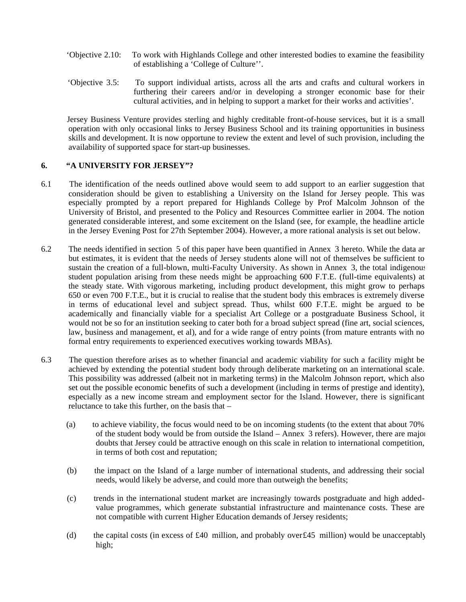- 'Objective 2.10: To work with Highlands College and other interested bodies to examine the feasibility of establishing a 'College of Culture''.
- 'Objective 3.5: To support individual artists, across all the arts and crafts and cultural workers in furthering their careers and/or in developing a stronger economic base for their cultural activities, and in helping to support a market for their works and activities'.

 Jersey Business Venture provides sterling and highly creditable front-of-house services, but it is a small operation with only occasional links to Jersey Business School and its training opportunities in business skills and development. It is now opportune to review the extent and level of such provision, including the availability of supported space for start-up businesses.

#### **6. "A UNIVERSITY FOR JERSEY"?**

- 6.1 The identification of the needs outlined above would seem to add support to an earlier suggestion that consideration should be given to establishing a University on the Island for Jersey people. This was especially prompted by a report prepared for Highlands College by Prof Malcolm Johnson of the University of Bristol, and presented to the Policy and Resources Committee earlier in 2004. The notion generated considerable interest, and some excitement on the Island (see, for example, the headline article in the Jersey Evening Post for 27th September 2004). However, a more rational analysis is set out below.
- 6.2 The needs identified in section 5 of this paper have been quantified in Annex 3 hereto. While the data are but estimates, it is evident that the needs of Jersey students alone will not of themselves be sufficient to sustain the creation of a full-blown, multi-Faculty University. As shown in Annex 3, the total indigenous student population arising from these needs might be approaching 600 F.T.E. (full-time equivalents) at the steady state. With vigorous marketing, including product development, this might grow to perhaps 650 or even 700 F.T.E., but it is crucial to realise that the student body this embraces is extremely diverse in terms of educational level and subject spread. Thus, whilst 600 F.T.E. might be argued to be academically and financially viable for a specialist Art College or a postgraduate Business School, it would not be so for an institution seeking to cater both for a broad subject spread (fine art, social sciences, law, business and management, et al), and for a wide range of entry points (from mature entrants with no formal entry requirements to experienced executives working towards MBAs).
- 6.3 The question therefore arises as to whether financial and academic viability for such a facility might be achieved by extending the potential student body through deliberate marketing on an international scale. This possibility was addressed (albeit not in marketing terms) in the Malcolm Johnson report, which also set out the possible economic benefits of such a development (including in terms of prestige and identity), especially as a new income stream and employment sector for the Island. However, there is significant reluctance to take this further, on the basis that –
	- (a) to achieve viability, the focus would need to be on incoming students (to the extent that about 70% of the student body would be from outside the Island – Annex 3 refers). However, there are major doubts that Jersey could be attractive enough on this scale in relation to international competition, in terms of both cost and reputation;
	- (b) the impact on the Island of a large number of international students, and addressing their social needs, would likely be adverse, and could more than outweigh the benefits;
	- (c) trends in the international student market are increasingly towards postgraduate and high addedvalue programmes, which generate substantial infrastructure and maintenance costs. These are not compatible with current Higher Education demands of Jersey residents;
	- (d) the capital costs (in excess of £40 million, and probably over£45 million) would be unacceptably high;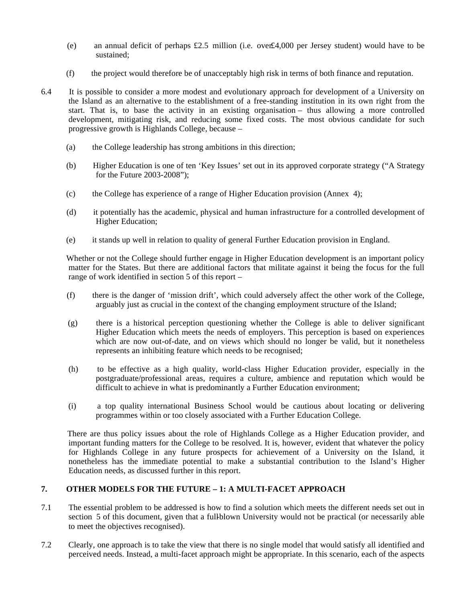- (e) an annual deficit of perhaps £2.5 million (i.e. over£4,000 per Jersey student) would have to be sustained;
- (f) the project would therefore be of unacceptably high risk in terms of both finance and reputation.
- 6.4 It is possible to consider a more modest and evolutionary approach for development of a University on the Island as an alternative to the establishment of a free-standing institution in its own right from the start. That is, to base the activity in an existing organisation – thus allowing a more controlled development, mitigating risk, and reducing some fixed costs. The most obvious candidate for such progressive growth is Highlands College, because –
	- (a) the College leadership has strong ambitions in this direction;
	- (b) Higher Education is one of ten 'Key Issues' set out in its approved corporate strategy ("A Strategy for the Future 2003-2008");
	- (c) the College has experience of a range of Higher Education provision (Annex 4);
	- (d) it potentially has the academic, physical and human infrastructure for a controlled development of Higher Education;
	- (e) it stands up well in relation to quality of general Further Education provision in England.

 Whether or not the College should further engage in Higher Education development is an important policy matter for the States. But there are additional factors that militate against it being the focus for the full range of work identified in section 5 of this report –

- (f) there is the danger of 'mission drift', which could adversely affect the other work of the College, arguably just as crucial in the context of the changing employment structure of the Island;
- (g) there is a historical perception questioning whether the College is able to deliver significant Higher Education which meets the needs of employers. This perception is based on experiences which are now out-of-date, and on views which should no longer be valid, but it nonetheless represents an inhibiting feature which needs to be recognised;
- (h) to be effective as a high quality, world-class Higher Education provider, especially in the postgraduate/professional areas, requires a culture, ambience and reputation which would be difficult to achieve in what is predominantly a Further Education environment;
- (i) a top quality international Business School would be cautious about locating or delivering programmes within or too closely associated with a Further Education College.

 There are thus policy issues about the role of Highlands College as a Higher Education provider, and important funding matters for the College to be resolved. It is, however, evident that whatever the policy for Highlands College in any future prospects for achievement of a University on the Island, it nonetheless has the immediate potential to make a substantial contribution to the Island's Higher Education needs, as discussed further in this report.

### **7. OTHER MODELS FOR THE FUTURE – 1: A MULTI-FACET APPROACH**

- 7.1 The essential problem to be addressed is how to find a solution which meets the different needs set out in section 5 of this document, given that a full-blown University would not be practical (or necessarily able to meet the objectives recognised).
- 7.2 Clearly, one approach is to take the view that there is no single model that would satisfy all identified and perceived needs. Instead, a multi-facet approach might be appropriate. In this scenario, each of the aspects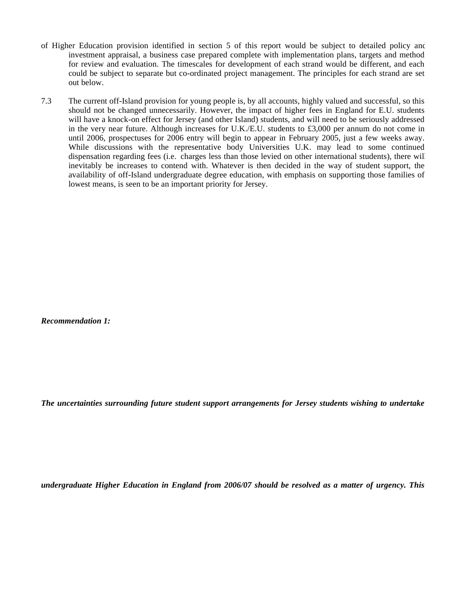- of Higher Education provision identified in section 5 of this report would be subject to detailed policy and investment appraisal, a business case prepared complete with implementation plans, targets and method for review and evaluation. The timescales for development of each strand would be different, and each could be subject to separate but co-ordinated project management. The principles for each strand are set out below.
- 7.3 The current off-Island provision for young people is, by all accounts, highly valued and successful, so this should not be changed unnecessarily. However, the impact of higher fees in England for E.U. students will have a knock-on effect for Jersey (and other Island) students, and will need to be seriously addressed in the very near future. Although increases for U.K./E.U. students to £3,000 per annum do not come in until 2006, prospectuses for 2006 entry will begin to appear in February 2005, just a few weeks away. While discussions with the representative body Universities U.K. may lead to some continued dispensation regarding fees (i.e. charges less than those levied on other international students), there will inevitably be increases to contend with. Whatever is then decided in the way of student support, the availability of off-Island undergraduate degree education, with emphasis on supporting those families of lowest means, is seen to be an important priority for Jersey.

*Recommendation 1:*

*The uncertainties surrounding future student support arrangements for Jersey students wishing to undertake*

*undergraduate Higher Education in England from 2006/07 should be resolved as a matter of urgency. This*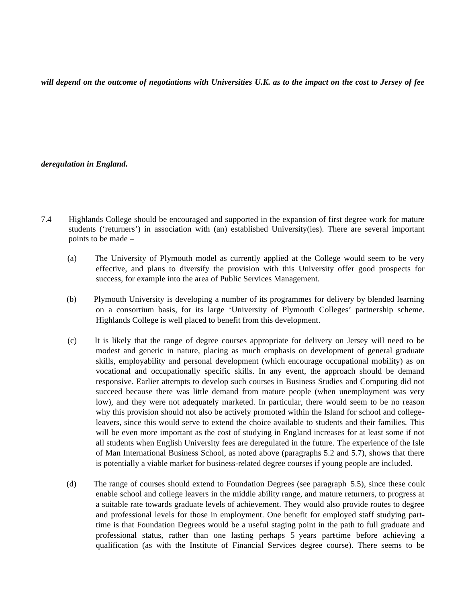*will depend on the outcome of negotiations with Universities U.K. as to the impact on the cost to Jersey of fee*

#### *deregulation in England.*

- 7.4 Highlands College should be encouraged and supported in the expansion of first degree work for mature students ('returners') in association with (an) established University(ies). There are several important points to be made –
	- (a) The University of Plymouth model as currently applied at the College would seem to be very effective, and plans to diversify the provision with this University offer good prospects for success, for example into the area of Public Services Management.
	- (b) Plymouth University is developing a number of its programmes for delivery by blended learning on a consortium basis, for its large 'University of Plymouth Colleges' partnership scheme. Highlands College is well placed to benefit from this development.
	- (c) It is likely that the range of degree courses appropriate for delivery on Jersey will need to be modest and generic in nature, placing as much emphasis on development of general graduate skills, employability and personal development (which encourage occupational mobility) as on vocational and occupationally specific skills. In any event, the approach should be demand responsive. Earlier attempts to develop such courses in Business Studies and Computing did not succeed because there was little demand from mature people (when unemployment was very low), and they were not adequately marketed. In particular, there would seem to be no reason why this provision should not also be actively promoted within the Island for school and collegeleavers, since this would serve to extend the choice available to students and their families. This will be even more important as the cost of studying in England increases for at least some if not all students when English University fees are deregulated in the future. The experience of the Isle of Man International Business School, as noted above (paragraphs 5.2 and 5.7), shows that there is potentially a viable market for business-related degree courses if young people are included.
	- (d) The range of courses should extend to Foundation Degrees (see paragraph 5.5), since these could enable school and college leavers in the middle ability range, and mature returners, to progress at a suitable rate towards graduate levels of achievement. They would also provide routes to degree and professional levels for those in employment. One benefit for employed staff studying parttime is that Foundation Degrees would be a useful staging point in the path to full graduate and professional status, rather than one lasting perhaps 5 years part-time before achieving a qualification (as with the Institute of Financial Services degree course). There seems to be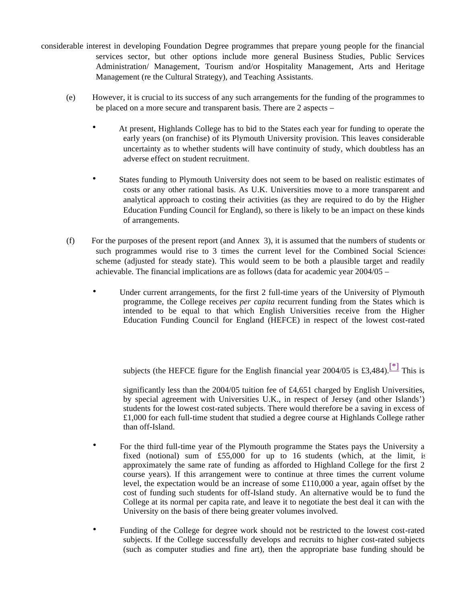- considerable interest in developing Foundation Degree programmes that prepare young people for the financial services sector, but other options include more general Business Studies, Public Services Administration/ Management, Tourism and/or Hospitality Management, Arts and Heritage Management (re the Cultural Strategy), and Teaching Assistants.
	- (e) However, it is crucial to its success of any such arrangements for the funding of the programmes to be placed on a more secure and transparent basis. There are 2 aspects –
		- At present, Highlands College has to bid to the States each year for funding to operate the early years (on franchise) of its Plymouth University provision. This leaves considerable uncertainty as to whether students will have continuity of study, which doubtless has an adverse effect on student recruitment.
		- States funding to Plymouth University does not seem to be based on realistic estimates of costs or any other rational basis. As U.K. Universities move to a more transparent and analytical approach to costing their activities (as they are required to do by the Higher Education Funding Council for England), so there is likely to be an impact on these kinds of arrangements.
	- (f) For the purposes of the present report (and Annex 3), it is assumed that the numbers of students on such programmes would rise to 3 times the current level for the Combined Social Sciences scheme (adjusted for steady state). This would seem to be both a plausible target and readily achievable. The financial implications are as follows (data for academic year 2004/05 –
		- Under current arrangements, for the first 2 full-time years of the University of Plymouth programme, the College receives *per capita* recurrent funding from the States which is intended to be equal to that which English Universities receive from the Higher Education Funding Council for England (HEFCE) in respect of the lowest cost-rated

subjects (the HEFCE figure for the English financial year 2004/05 is £3,484).<sup>[\*]</sup> This is

significantly less than the 2004/05 tuition fee of £4,651 charged by English Universities, by special agreement with Universities U.K., in respect of Jersey (and other Islands') students for the lowest cost-rated subjects. There would therefore be a saving in excess of £1,000 for each full-time student that studied a degree course at Highlands College rather than off-Island.

- For the third full-time year of the Plymouth programme the States pays the University a fixed (notional) sum of £55,000 for up to 16 students (which, at the limit, is approximately the same rate of funding as afforded to Highland College for the first 2 course years). If this arrangement were to continue at three times the current volume level, the expectation would be an increase of some £110,000 a year, again offset by the cost of funding such students for off-Island study. An alternative would be to fund the College at its normal per capita rate, and leave it to negotiate the best deal it can with the University on the basis of there being greater volumes involved.
- Funding of the College for degree work should not be restricted to the lowest cost-rated subjects. If the College successfully develops and recruits to higher cost-rated subjects (such as computer studies and fine art), then the appropriate base funding should be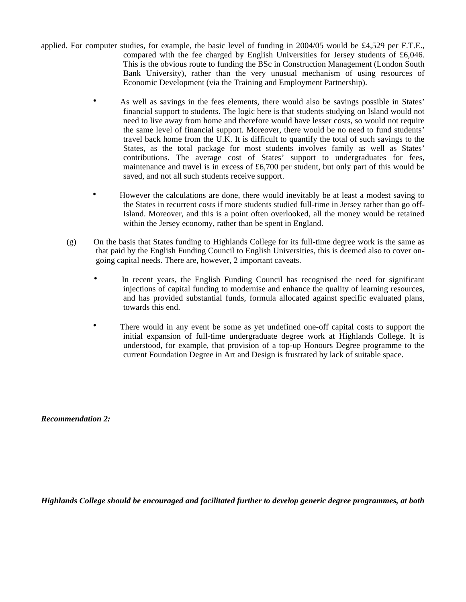- applied. For computer studies, for example, the basic level of funding in 2004/05 would be £4,529 per F.T.E., compared with the fee charged by English Universities for Jersey students of £6,046. This is the obvious route to funding the BSc in Construction Management (London South Bank University), rather than the very unusual mechanism of using resources of Economic Development (via the Training and Employment Partnership).
	- As well as savings in the fees elements, there would also be savings possible in States' financial support to students. The logic here is that students studying on Island would not need to live away from home and therefore would have lesser costs, so would not require the same level of financial support. Moreover, there would be no need to fund students' travel back home from the U.K. It is difficult to quantify the total of such savings to the States, as the total package for most students involves family as well as States' contributions. The average cost of States' support to undergraduates for fees, maintenance and travel is in excess of £6,700 per student, but only part of this would be saved, and not all such students receive support.
	- However the calculations are done, there would inevitably be at least a modest saving to the States in recurrent costs if more students studied full-time in Jersey rather than go off-Island. Moreover, and this is a point often overlooked, all the money would be retained within the Jersey economy, rather than be spent in England.
	- (g) On the basis that States funding to Highlands College for its full-time degree work is the same as that paid by the English Funding Council to English Universities, this is deemed also to cover ongoing capital needs. There are, however, 2 important caveats.
		- In recent years, the English Funding Council has recognised the need for significant injections of capital funding to modernise and enhance the quality of learning resources, and has provided substantial funds, formula allocated against specific evaluated plans, towards this end.
		- There would in any event be some as yet undefined one-off capital costs to support the initial expansion of full-time undergraduate degree work at Highlands College. It is understood, for example, that provision of a top-up Honours Degree programme to the current Foundation Degree in Art and Design is frustrated by lack of suitable space.

*Recommendation 2:*

*Highlands College should be encouraged and facilitated further to develop generic degree programmes, at both*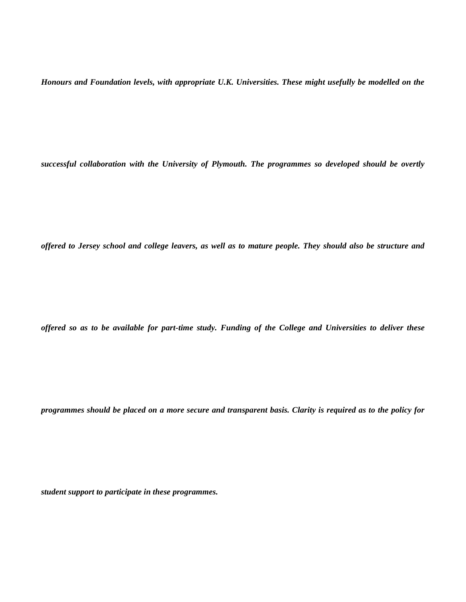*Honours and Foundation levels, with appropriate U.K. Universities. These might usefully be modelled on the*

*successful collaboration with the University of Plymouth. The programmes so developed should be overtly*

*offered to Jersey school and college leavers, as well as to mature people. They should also be structure and*

*offered so as to be available for part-time study. Funding of the College and Universities to deliver these*

*programmes should be placed on a more secure and transparent basis. Clarity is required as to the policy for*

*student support to participate in these programmes.*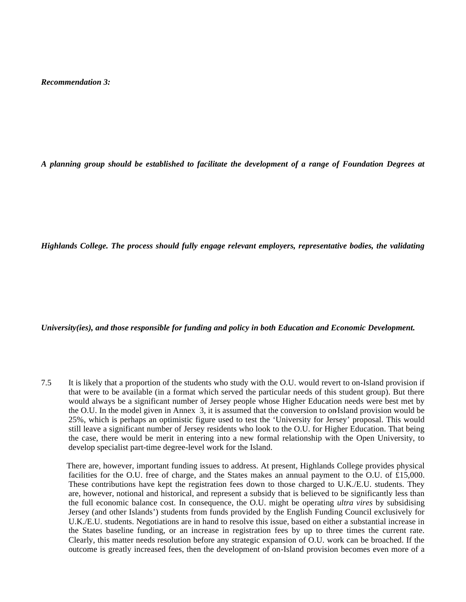*Recommendation 3:*

*A planning group should be established to facilitate the development of a range of Foundation Degrees at*

*Highlands College. The process should fully engage relevant employers, representative bodies, the validating*

#### *University(ies), and those responsible for funding and policy in both Education and Economic Development.*

7.5 It is likely that a proportion of the students who study with the O.U. would revert to on-Island provision if that were to be available (in a format which served the particular needs of this student group). But there would always be a significant number of Jersey people whose Higher Education needs were best met by the O.U. In the model given in Annex 3, it is assumed that the conversion to on-Island provision would be 25%, which is perhaps an optimistic figure used to test the 'University for Jersey' proposal. This would still leave a significant number of Jersey residents who look to the O.U. for Higher Education. That being the case, there would be merit in entering into a new formal relationship with the Open University, to develop specialist part-time degree-level work for the Island.

 There are, however, important funding issues to address. At present, Highlands College provides physical facilities for the O.U. free of charge, and the States makes an annual payment to the O.U. of £15,000. These contributions have kept the registration fees down to those charged to U.K./E.U. students. They are, however, notional and historical, and represent a subsidy that is believed to be significantly less than the full economic balance cost. In consequence, the O.U. might be operating *ultra vires* by subsidising Jersey (and other Islands') students from funds provided by the English Funding Council exclusively for U.K./E.U. students. Negotiations are in hand to resolve this issue, based on either a substantial increase in the States baseline funding, or an increase in registration fees by up to three times the current rate. Clearly, this matter needs resolution before any strategic expansion of O.U. work can be broached. If the outcome is greatly increased fees, then the development of on-Island provision becomes even more of a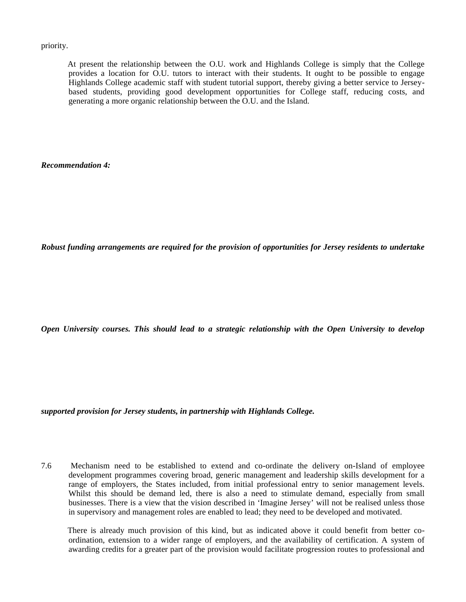priority.

 At present the relationship between the O.U. work and Highlands College is simply that the College provides a location for O.U. tutors to interact with their students. It ought to be possible to engage Highlands College academic staff with student tutorial support, thereby giving a better service to Jerseybased students, providing good development opportunities for College staff, reducing costs, and generating a more organic relationship between the O.U. and the Island.

*Recommendation 4:*

*Robust funding arrangements are required for the provision of opportunities for Jersey residents to undertake*

*Open University courses. This should lead to a strategic relationship with the Open University to develop*

*supported provision for Jersey students, in partnership with Highlands College.*

7.6 Mechanism need to be established to extend and co-ordinate the delivery on-Island of employee development programmes covering broad, generic management and leadership skills development for a range of employers, the States included, from initial professional entry to senior management levels. Whilst this should be demand led, there is also a need to stimulate demand, especially from small businesses. There is a view that the vision described in 'Imagine Jersey' will not be realised unless those in supervisory and management roles are enabled to lead; they need to be developed and motivated.

 There is already much provision of this kind, but as indicated above it could benefit from better coordination, extension to a wider range of employers, and the availability of certification. A system of awarding credits for a greater part of the provision would facilitate progression routes to professional and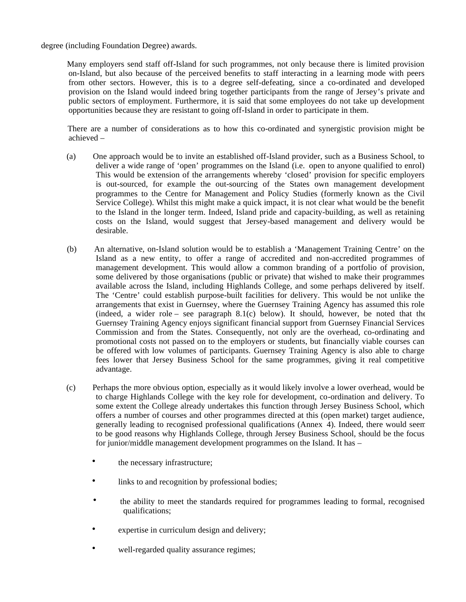degree (including Foundation Degree) awards.

 Many employers send staff off-Island for such programmes, not only because there is limited provision on-Island, but also because of the perceived benefits to staff interacting in a learning mode with peers from other sectors. However, this is to a degree self-defeating, since a co-ordinated and developed provision on the Island would indeed bring together participants from the range of Jersey's private and public sectors of employment. Furthermore, it is said that some employees do not take up development opportunities because they are resistant to going off-Island in order to participate in them.

 There are a number of considerations as to how this co-ordinated and synergistic provision might be achieved –

- (a) One approach would be to invite an established off-Island provider, such as a Business School, to deliver a wide range of 'open' programmes on the Island (i.e. open to anyone qualified to enrol). This would be extension of the arrangements whereby 'closed' provision for specific employers is out-sourced, for example the out-sourcing of the States own management development programmes to the Centre for Management and Policy Studies (formerly known as the Civil Service College). Whilst this might make a quick impact, it is not clear what would be the benefit to the Island in the longer term. Indeed, Island pride and capacity-building, as well as retaining costs on the Island, would suggest that Jersey-based management and delivery would be desirable.
- (b) An alternative, on-Island solution would be to establish a 'Management Training Centre' on the Island as a new entity, to offer a range of accredited and non-accredited programmes of management development. This would allow a common branding of a portfolio of provision, some delivered by those organisations (public or private) that wished to make their programmes available across the Island, including Highlands College, and some perhaps delivered by itself. The 'Centre' could establish purpose-built facilities for delivery. This would be not unlike the arrangements that exist in Guernsey, where the Guernsey Training Agency has assumed this role (indeed, a wider role – see paragraph  $8.1(c)$  below). It should, however, be noted that the Guernsey Training Agency enjoys significant financial support from Guernsey Financial Services Commission and from the States. Consequently, not only are the overhead, co-ordinating and promotional costs not passed on to the employers or students, but financially viable courses can be offered with low volumes of participants. Guernsey Training Agency is also able to charge fees lower that Jersey Business School for the same programmes, giving it real competitive advantage.
- (c) Perhaps the more obvious option, especially as it would likely involve a lower overhead, would be to charge Highlands College with the key role for development, co-ordination and delivery. To some extent the College already undertakes this function through Jersey Business School, which offers a number of courses and other programmes directed at this (open market) target audience, generally leading to recognised professional qualifications (Annex 4). Indeed, there would seem to be good reasons why Highlands College, through Jersey Business School, should be the focus for junior/middle management development programmes on the Island. It has –
	- the necessary infrastructure;
	- links to and recognition by professional bodies;
	- the ability to meet the standards required for programmes leading to formal, recognised qualifications;
	- expertise in curriculum design and delivery;
	- well-regarded quality assurance regimes;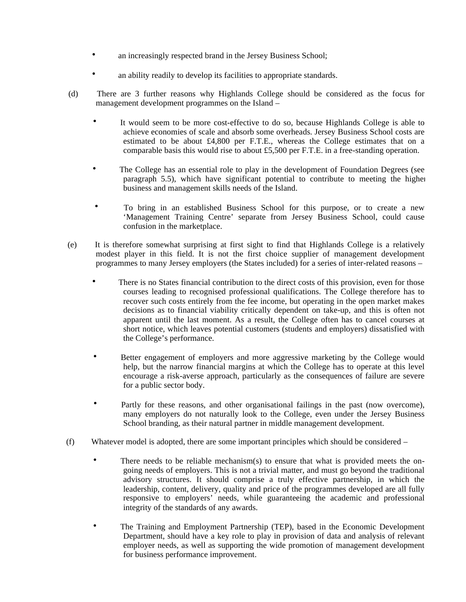- an increasingly respected brand in the Jersey Business School;
- an ability readily to develop its facilities to appropriate standards.
- (d) There are 3 further reasons why Highlands College should be considered as the focus for management development programmes on the Island –
	- It would seem to be more cost-effective to do so, because Highlands College is able to achieve economies of scale and absorb some overheads. Jersey Business School costs are estimated to be about £4,800 per F.T.E., whereas the College estimates that on a comparable basis this would rise to about £5,500 per F.T.E. in a free-standing operation.
	- The College has an essential role to play in the development of Foundation Degrees (see paragraph 5.5), which have significant potential to contribute to meeting the higher business and management skills needs of the Island.
	- To bring in an established Business School for this purpose, or to create a new 'Management Training Centre' separate from Jersey Business School, could cause confusion in the marketplace.
- (e) It is therefore somewhat surprising at first sight to find that Highlands College is a relatively modest player in this field. It is not the first choice supplier of management development programmes to many Jersey employers (the States included) for a series of inter-related reasons –
	- There is no States financial contribution to the direct costs of this provision, even for those courses leading to recognised professional qualifications. The College therefore has to recover such costs entirely from the fee income, but operating in the open market makes decisions as to financial viability critically dependent on take-up, and this is often not apparent until the last moment. As a result, the College often has to cancel courses at short notice, which leaves potential customers (students and employers) dissatisfied with the College's performance.
	- Better engagement of employers and more aggressive marketing by the College would help, but the narrow financial margins at which the College has to operate at this level encourage a risk-averse approach, particularly as the consequences of failure are severe for a public sector body.
	- Partly for these reasons, and other organisational failings in the past (now overcome), many employers do not naturally look to the College, even under the Jersey Business School branding, as their natural partner in middle management development.
- (f) Whatever model is adopted, there are some important principles which should be considered
	- There needs to be reliable mechanism(s) to ensure that what is provided meets the ongoing needs of employers. This is not a trivial matter, and must go beyond the traditional advisory structures. It should comprise a truly effective partnership, in which the leadership, content, delivery, quality and price of the programmes developed are all fully responsive to employers' needs, while guaranteeing the academic and professional integrity of the standards of any awards.
	- The Training and Employment Partnership (TEP), based in the Economic Development Department, should have a key role to play in provision of data and analysis of relevant employer needs, as well as supporting the wide promotion of management development for business performance improvement.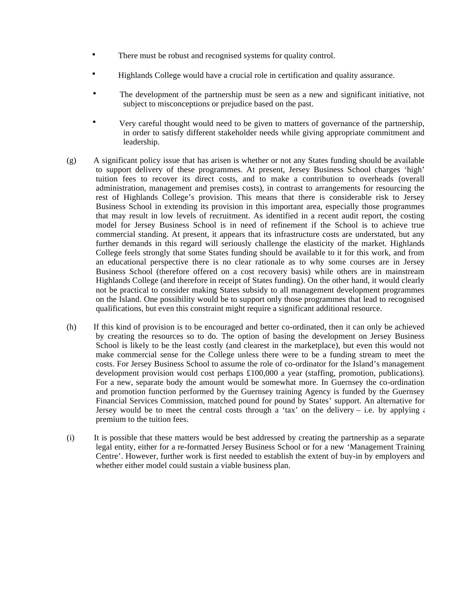- There must be robust and recognised systems for quality control.
- Highlands College would have a crucial role in certification and quality assurance.
- The development of the partnership must be seen as a new and significant initiative, not subject to misconceptions or prejudice based on the past.
- Very careful thought would need to be given to matters of governance of the partnership, in order to satisfy different stakeholder needs while giving appropriate commitment and leadership.
- (g) A significant policy issue that has arisen is whether or not any States funding should be available to support delivery of these programmes. At present, Jersey Business School charges 'high' tuition fees to recover its direct costs, and to make a contribution to overheads (overall administration, management and premises costs), in contrast to arrangements for resourcing the rest of Highlands College's provision. This means that there is considerable risk to Jersey Business School in extending its provision in this important area, especially those programmes that may result in low levels of recruitment. As identified in a recent audit report, the costing model for Jersey Business School is in need of refinement if the School is to achieve true commercial standing. At present, it appears that its infrastructure costs are understated, but any further demands in this regard will seriously challenge the elasticity of the market. Highlands College feels strongly that some States funding should be available to it for this work, and from an educational perspective there is no clear rationale as to why some courses are in Jersey Business School (therefore offered on a cost recovery basis) while others are in mainstream Highlands College (and therefore in receipt of States funding). On the other hand, it would clearly not be practical to consider making States subsidy to all management development programmes on the Island. One possibility would be to support only those programmes that lead to recognised qualifications, but even this constraint might require a significant additional resource.
- (h) If this kind of provision is to be encouraged and better co-ordinated, then it can only be achieved by creating the resources so to do. The option of basing the development on Jersey Business School is likely to be the least costly (and clearest in the marketplace), but even this would not make commercial sense for the College unless there were to be a funding stream to meet the costs. For Jersey Business School to assume the role of co-ordinator for the Island's management development provision would cost perhaps £100,000 a year (staffing, promotion, publications). For a new, separate body the amount would be somewhat more. In Guernsey the co-ordination and promotion function performed by the Guernsey training Agency is funded by the Guernsey Financial Services Commission, matched pound for pound by States' support. An alternative for Jersey would be to meet the central costs through a 'tax' on the delivery – i.e. by applying a premium to the tuition fees.
- (i) It is possible that these matters would be best addressed by creating the partnership as a separate legal entity, either for a re-formatted Jersey Business School or for a new 'Management Training Centre'. However, further work is first needed to establish the extent of buy-in by employers and whether either model could sustain a viable business plan.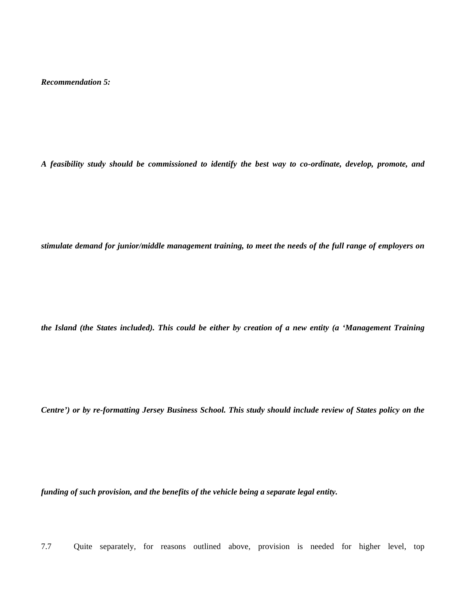*Recommendation 5:*

*A feasibility study should be commissioned to identify the best way to co-ordinate, develop, promote, and*

*stimulate demand for junior/middle management training, to meet the needs of the full range of employers on*

*the Island (the States included). This could be either by creation of a new entity (a 'Management Training*

*Centre') or by re-formatting Jersey Business School. This study should include review of States policy on the*

*funding of such provision, and the benefits of the vehicle being a separate legal entity.*

7.7 Quite separately, for reasons outlined above, provision is needed for higher level, top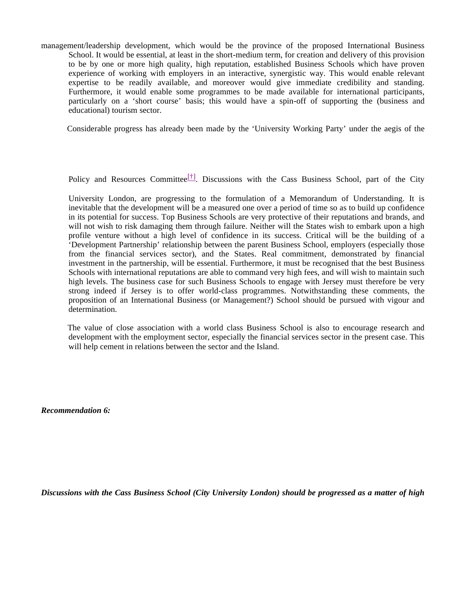management/leadership development, which would be the province of the proposed International Business School. It would be essential, at least in the short-medium term, for creation and delivery of this provision to be by one or more high quality, high reputation, established Business Schools which have proven experience of working with employers in an interactive, synergistic way. This would enable relevant expertise to be readily available, and moreover would give immediate credibility and standing. Furthermore, it would enable some programmes to be made available for international participants, particularly on a 'short course' basis; this would have a spin-off of supporting the (business and educational) tourism sector.

Considerable progress has already been made by the 'University Working Party' under the aegis of the

Policy and Resources Committee<sup>[†]</sup>. Discussions with the Cass Business School, part of the City

University London, are progressing to the formulation of a Memorandum of Understanding. It is inevitable that the development will be a measured one over a period of time so as to build up confidence in its potential for success. Top Business Schools are very protective of their reputations and brands, and will not wish to risk damaging them through failure. Neither will the States wish to embark upon a high profile venture without a high level of confidence in its success. Critical will be the building of a 'Development Partnership' relationship between the parent Business School, employers (especially those from the financial services sector), and the States. Real commitment, demonstrated by financial investment in the partnership, will be essential. Furthermore, it must be recognised that the best Business Schools with international reputations are able to command very high fees, and will wish to maintain such high levels. The business case for such Business Schools to engage with Jersey must therefore be very strong indeed if Jersey is to offer world-class programmes. Notwithstanding these comments, the proposition of an International Business (or Management?) School should be pursued with vigour and determination.

 The value of close association with a world class Business School is also to encourage research and development with the employment sector, especially the financial services sector in the present case. This will help cement in relations between the sector and the Island.

*Recommendation 6:*

*Discussions with the Cass Business School (City University London) should be progressed as a matter of high*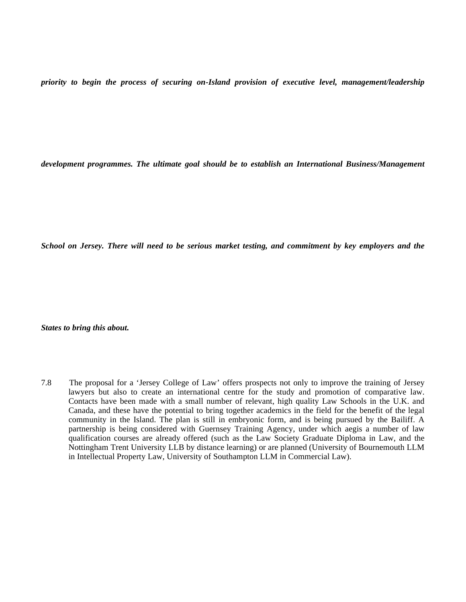*priority to begin the process of securing on-Island provision of executive level, management/leadership*

*development programmes. The ultimate goal should be to establish an International Business/Management*

*School on Jersey. There will need to be serious market testing, and commitment by key employers and the*

*States to bring this about.*

7.8 The proposal for a 'Jersey College of Law' offers prospects not only to improve the training of Jersey lawyers but also to create an international centre for the study and promotion of comparative law. Contacts have been made with a small number of relevant, high quality Law Schools in the U.K. and Canada, and these have the potential to bring together academics in the field for the benefit of the legal community in the Island. The plan is still in embryonic form, and is being pursued by the Bailiff. A partnership is being considered with Guernsey Training Agency, under which aegis a number of law qualification courses are already offered (such as the Law Society Graduate Diploma in Law, and the Nottingham Trent University LLB by distance learning) or are planned (University of Bournemouth LLM in Intellectual Property Law, University of Southampton LLM in Commercial Law).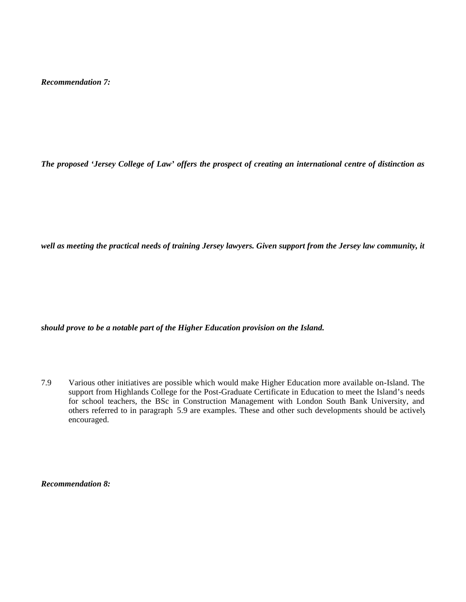*Recommendation 7:*

*The proposed 'Jersey College of Law' offers the prospect of creating an international centre of distinction as*

*well as meeting the practical needs of training Jersey lawyers. Given support from the Jersey law community, it*

*should prove to be a notable part of the Higher Education provision on the Island.*

7.9 Various other initiatives are possible which would make Higher Education more available on-Island. The support from Highlands College for the Post-Graduate Certificate in Education to meet the Island's needs for school teachers, the BSc in Construction Management with London South Bank University, and others referred to in paragraph 5.9 are examples. These and other such developments should be actively encouraged.

*Recommendation 8:*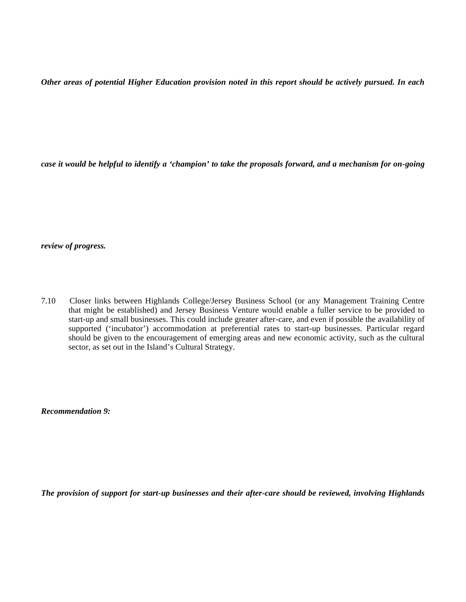*Other areas of potential Higher Education provision noted in this report should be actively pursued. In each*

*case it would be helpful to identify a 'champion' to take the proposals forward, and a mechanism for on-going*

*review of progress.*

7.10 Closer links between Highlands College/Jersey Business School (or any Management Training Centre that might be established) and Jersey Business Venture would enable a fuller service to be provided to start-up and small businesses. This could include greater after-care, and even if possible the availability of supported ('incubator') accommodation at preferential rates to start-up businesses. Particular regard should be given to the encouragement of emerging areas and new economic activity, such as the cultural sector, as set out in the Island's Cultural Strategy.

*Recommendation 9:*

*The provision of support for start-up businesses and their after-care should be reviewed, involving Highlands*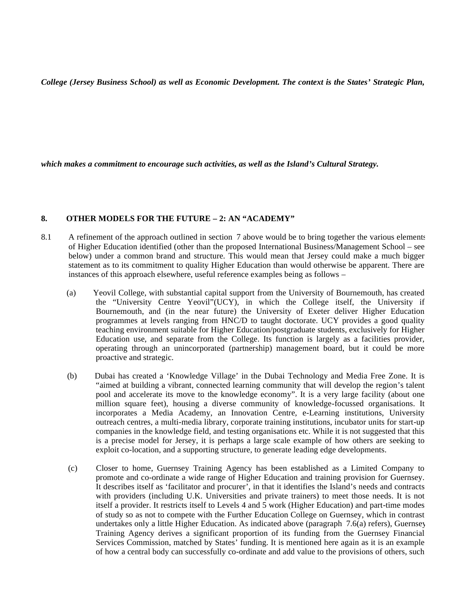*College (Jersey Business School) as well as Economic Development. The context is the States' Strategic Plan,*

*which makes a commitment to encourage such activities, as well as the Island's Cultural Strategy.*

#### **8. OTHER MODELS FOR THE FUTURE – 2: AN "ACADEMY"**

- 8.1 A refinement of the approach outlined in section 7 above would be to bring together the various elements of Higher Education identified (other than the proposed International Business/Management School – see below) under a common brand and structure. This would mean that Jersey could make a much bigger statement as to its commitment to quality Higher Education than would otherwise be apparent. There are instances of this approach elsewhere, useful reference examples being as follows –
	- (a) Yeovil College, with substantial capital support from the University of Bournemouth, has created the "University Centre Yeovil"(UCY), in which the College itself, the University if Bournemouth, and (in the near future) the University of Exeter deliver Higher Education programmes at levels ranging from HNC/D to taught doctorate. UCY provides a good quality teaching environment suitable for Higher Education/postgraduate students, exclusively for Higher Education use, and separate from the College. Its function is largely as a facilities provider, operating through an unincorporated (partnership) management board, but it could be more proactive and strategic.
	- (b) Dubai has created a 'Knowledge Village' in the Dubai Technology and Media Free Zone. It is "aimed at building a vibrant, connected learning community that will develop the region's talent pool and accelerate its move to the knowledge economy". It is a very large facility (about one million square feet), housing a diverse community of knowledge-focussed organisations. It incorporates a Media Academy, an Innovation Centre, e-Learning institutions, University outreach centres, a multi-media library, corporate training institutions, incubator units for start-up companies in the knowledge field, and testing organisations etc. While it is not suggested that this is a precise model for Jersey, it is perhaps a large scale example of how others are seeking to exploit co-location, and a supporting structure, to generate leading edge developments.
	- (c) Closer to home, Guernsey Training Agency has been established as a Limited Company to promote and co-ordinate a wide range of Higher Education and training provision for Guernsey. It describes itself as 'facilitator and procurer', in that it identifies the Island's needs and contracts with providers (including U.K. Universities and private trainers) to meet those needs. It is not itself a provider. It restricts itself to Levels 4 and 5 work (Higher Education) and part-time modes of study so as not to compete with the Further Education College on Guernsey, which in contrast undertakes only a little Higher Education. As indicated above (paragraph 7.6(a) refers), Guernsey Training Agency derives a significant proportion of its funding from the Guernsey Financial Services Commission, matched by States' funding. It is mentioned here again as it is an example of how a central body can successfully co-ordinate and add value to the provisions of others, such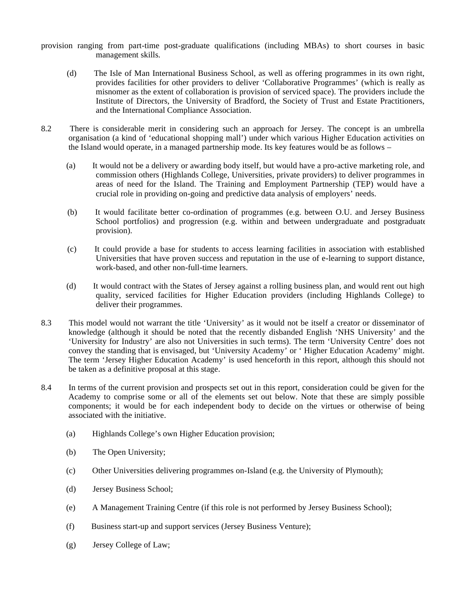provision ranging from part-time post-graduate qualifications (including MBAs) to short courses in basic management skills.

- (d) The Isle of Man International Business School, as well as offering programmes in its own right, provides facilities for other providers to deliver 'Collaborative Programmes' (which is really as misnomer as the extent of collaboration is provision of serviced space). The providers include the Institute of Directors, the University of Bradford, the Society of Trust and Estate Practitioners, and the International Compliance Association.
- 8.2 There is considerable merit in considering such an approach for Jersey. The concept is an umbrella organisation (a kind of 'educational shopping mall') under which various Higher Education activities on the Island would operate, in a managed partnership mode. Its key features would be as follows –
	- (a) It would not be a delivery or awarding body itself, but would have a pro-active marketing role, and commission others (Highlands College, Universities, private providers) to deliver programmes in areas of need for the Island. The Training and Employment Partnership (TEP) would have a crucial role in providing on-going and predictive data analysis of employers' needs.
	- (b) It would facilitate better co-ordination of programmes (e.g. between O.U. and Jersey Business School portfolios) and progression (e.g. within and between undergraduate and postgraduate provision).
	- (c) It could provide a base for students to access learning facilities in association with established Universities that have proven success and reputation in the use of e-learning to support distance, work-based, and other non-full-time learners.
	- (d) It would contract with the States of Jersey against a rolling business plan, and would rent out high quality, serviced facilities for Higher Education providers (including Highlands College) to deliver their programmes.
- 8.3 This model would not warrant the title 'University' as it would not be itself a creator or disseminator of knowledge (although it should be noted that the recently disbanded English 'NHS University' and the 'University for Industry' are also not Universities in such terms). The term 'University Centre' does not convey the standing that is envisaged, but 'University Academy' or ' Higher Education Academy' might. The term 'Jersey Higher Education Academy' is used henceforth in this report, although this should not be taken as a definitive proposal at this stage.
- 8.4 In terms of the current provision and prospects set out in this report, consideration could be given for the Academy to comprise some or all of the elements set out below. Note that these are simply possible components; it would be for each independent body to decide on the virtues or otherwise of being associated with the initiative.
	- (a) Highlands College's own Higher Education provision;
	- (b) The Open University;
	- (c) Other Universities delivering programmes on-Island (e.g. the University of Plymouth);
	- (d) Jersey Business School;
	- (e) A Management Training Centre (if this role is not performed by Jersey Business School);
	- (f) Business start-up and support services (Jersey Business Venture);
	- (g) Jersey College of Law;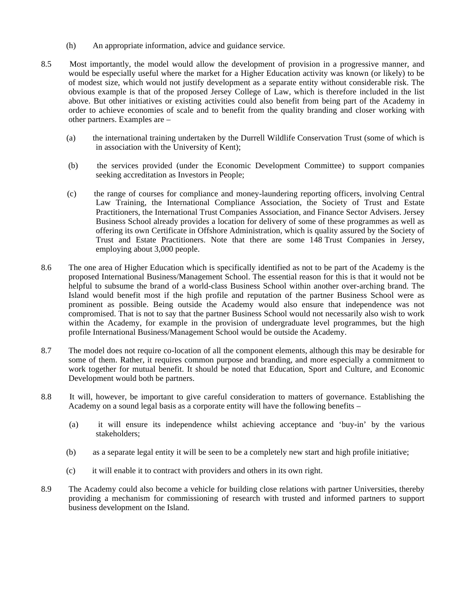- (h) An appropriate information, advice and guidance service.
- 8.5 Most importantly, the model would allow the development of provision in a progressive manner, and would be especially useful where the market for a Higher Education activity was known (or likely) to be of modest size, which would not justify development as a separate entity without considerable risk. The obvious example is that of the proposed Jersey College of Law, which is therefore included in the list above. But other initiatives or existing activities could also benefit from being part of the Academy in order to achieve economies of scale and to benefit from the quality branding and closer working with other partners. Examples are –
	- (a) the international training undertaken by the Durrell Wildlife Conservation Trust (some of which is in association with the University of Kent);
	- (b) the services provided (under the Economic Development Committee) to support companies seeking accreditation as Investors in People;
	- (c) the range of courses for compliance and money-laundering reporting officers, involving Central Law Training, the International Compliance Association, the Society of Trust and Estate Practitioners, the International Trust Companies Association, and Finance Sector Advisers. Jersey Business School already provides a location for delivery of some of these programmes as well as offering its own Certificate in Offshore Administration, which is quality assured by the Society of Trust and Estate Practitioners. Note that there are some 148 Trust Companies in Jersey, employing about 3,000 people.
- 8.6 The one area of Higher Education which is specifically identified as not to be part of the Academy is the proposed International Business/Management School. The essential reason for this is that it would not be helpful to subsume the brand of a world-class Business School within another over-arching brand. The Island would benefit most if the high profile and reputation of the partner Business School were as prominent as possible. Being outside the Academy would also ensure that independence was not compromised. That is not to say that the partner Business School would not necessarily also wish to work within the Academy, for example in the provision of undergraduate level programmes, but the high profile International Business/Management School would be outside the Academy.
- 8.7 The model does not require co-location of all the component elements, although this may be desirable for some of them. Rather, it requires common purpose and branding, and more especially a commitment to work together for mutual benefit. It should be noted that Education, Sport and Culture, and Economic Development would both be partners.
- 8.8 It will, however, be important to give careful consideration to matters of governance. Establishing the Academy on a sound legal basis as a corporate entity will have the following benefits –
	- (a) it will ensure its independence whilst achieving acceptance and 'buy-in' by the various stakeholders;
	- (b) as a separate legal entity it will be seen to be a completely new start and high profile initiative;
	- (c) it will enable it to contract with providers and others in its own right.
- 8.9 The Academy could also become a vehicle for building close relations with partner Universities, thereby providing a mechanism for commissioning of research with trusted and informed partners to support business development on the Island.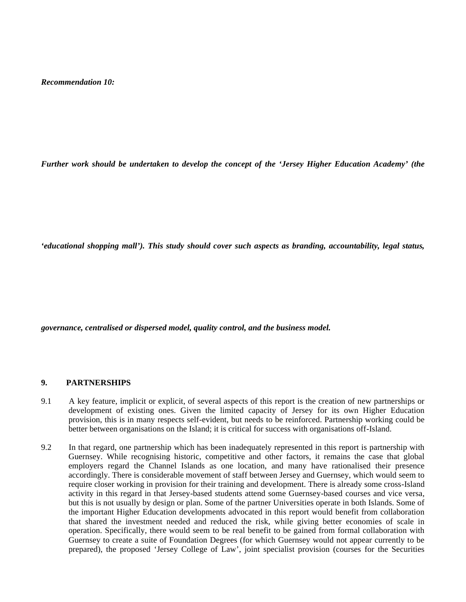*Recommendation 10:*

*Further work should be undertaken to develop the concept of the 'Jersey Higher Education Academy' (the*

*'educational shopping mall'). This study should cover such aspects as branding, accountability, legal status,*

*governance, centralised or dispersed model, quality control, and the business model.*

#### **9. PARTNERSHIPS**

- 9.1 A key feature, implicit or explicit, of several aspects of this report is the creation of new partnerships or development of existing ones. Given the limited capacity of Jersey for its own Higher Education provision, this is in many respects self-evident, but needs to be reinforced. Partnership working could be better between organisations on the Island; it is critical for success with organisations off-Island.
- 9.2 In that regard, one partnership which has been inadequately represented in this report is partnership with Guernsey. While recognising historic, competitive and other factors, it remains the case that global employers regard the Channel Islands as one location, and many have rationalised their presence accordingly. There is considerable movement of staff between Jersey and Guernsey, which would seem to require closer working in provision for their training and development. There is already some cross-Island activity in this regard in that Jersey-based students attend some Guernsey-based courses and vice versa, but this is not usually by design or plan. Some of the partner Universities operate in both Islands. Some of the important Higher Education developments advocated in this report would benefit from collaboration that shared the investment needed and reduced the risk, while giving better economies of scale in operation. Specifically, there would seem to be real benefit to be gained from formal collaboration with Guernsey to create a suite of Foundation Degrees (for which Guernsey would not appear currently to be prepared), the proposed 'Jersey College of Law', joint specialist provision (courses for the Securities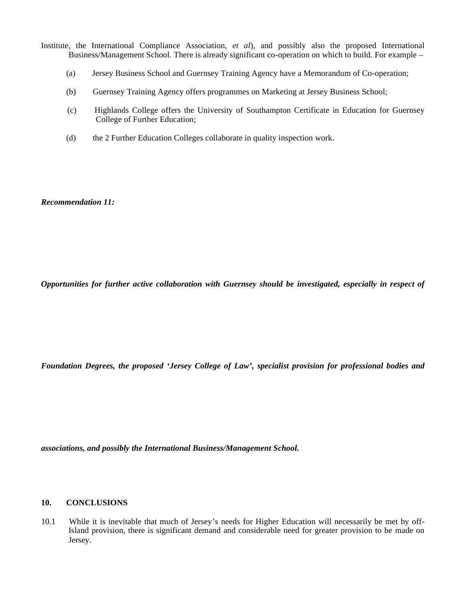- Institute, the International Compliance Association, *et al*), and possibly also the proposed International Business/Management School. There is already significant co-operation on which to build. For example –
	- (a) Jersey Business School and Guernsey Training Agency have a Memorandum of Co-operation;
	- (b) Guernsey Training Agency offers programmes on Marketing at Jersey Business School;
	- (c) Highlands College offers the University of Southampton Certificate in Education for Guernsey College of Further Education;
	- (d) the 2 Further Education Colleges collaborate in quality inspection work.

*Recommendation 11:*

*Opportunities for further active collaboration with Guernsey should be investigated, especially in respect of*

*Foundation Degrees, the proposed 'Jersey College of Law', specialist provision for professional bodies and*

*associations, and possibly the International Business/Management School.*

#### **10. CONCLUSIONS**

10.1 While it is inevitable that much of Jersey's needs for Higher Education will necessarily be met by off-Island provision, there is significant demand and considerable need for greater provision to be made on Jersey.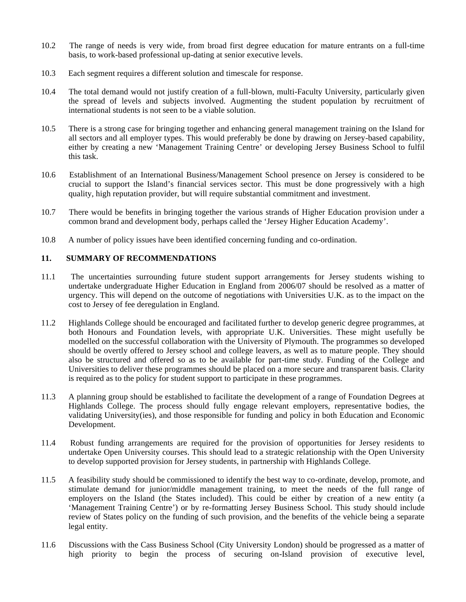- 10.2 The range of needs is very wide, from broad first degree education for mature entrants on a full-time basis, to work-based professional up-dating at senior executive levels.
- 10.3 Each segment requires a different solution and timescale for response.
- 10.4 The total demand would not justify creation of a full-blown, multi-Faculty University, particularly given the spread of levels and subjects involved. Augmenting the student population by recruitment of international students is not seen to be a viable solution.
- 10.5 There is a strong case for bringing together and enhancing general management training on the Island for all sectors and all employer types. This would preferably be done by drawing on Jersey-based capability, either by creating a new 'Management Training Centre' or developing Jersey Business School to fulfil this task.
- 10.6 Establishment of an International Business/Management School presence on Jersey is considered to be crucial to support the Island's financial services sector. This must be done progressively with a high quality, high reputation provider, but will require substantial commitment and investment.
- 10.7 There would be benefits in bringing together the various strands of Higher Education provision under a common brand and development body, perhaps called the 'Jersey Higher Education Academy'.
- 10.8 A number of policy issues have been identified concerning funding and co-ordination.

#### **11. SUMMARY OF RECOMMENDATIONS**

- 11.1 The uncertainties surrounding future student support arrangements for Jersey students wishing to undertake undergraduate Higher Education in England from 2006/07 should be resolved as a matter of urgency. This will depend on the outcome of negotiations with Universities U.K. as to the impact on the cost to Jersey of fee deregulation in England.
- 11.2 Highlands College should be encouraged and facilitated further to develop generic degree programmes, at both Honours and Foundation levels, with appropriate U.K. Universities. These might usefully be modelled on the successful collaboration with the University of Plymouth. The programmes so developed should be overtly offered to Jersey school and college leavers, as well as to mature people. They should also be structured and offered so as to be available for part-time study. Funding of the College and Universities to deliver these programmes should be placed on a more secure and transparent basis. Clarity is required as to the policy for student support to participate in these programmes.
- 11.3 A planning group should be established to facilitate the development of a range of Foundation Degrees at Highlands College. The process should fully engage relevant employers, representative bodies, the validating University(ies), and those responsible for funding and policy in both Education and Economic Development.
- 11.4 Robust funding arrangements are required for the provision of opportunities for Jersey residents to undertake Open University courses. This should lead to a strategic relationship with the Open University to develop supported provision for Jersey students, in partnership with Highlands College.
- 11.5 A feasibility study should be commissioned to identify the best way to co-ordinate, develop, promote, and stimulate demand for junior/middle management training, to meet the needs of the full range of employers on the Island (the States included). This could be either by creation of a new entity (a 'Management Training Centre') or by re-formatting Jersey Business School. This study should include review of States policy on the funding of such provision, and the benefits of the vehicle being a separate legal entity.
- 11.6 Discussions with the Cass Business School (City University London) should be progressed as a matter of high priority to begin the process of securing on-Island provision of executive level,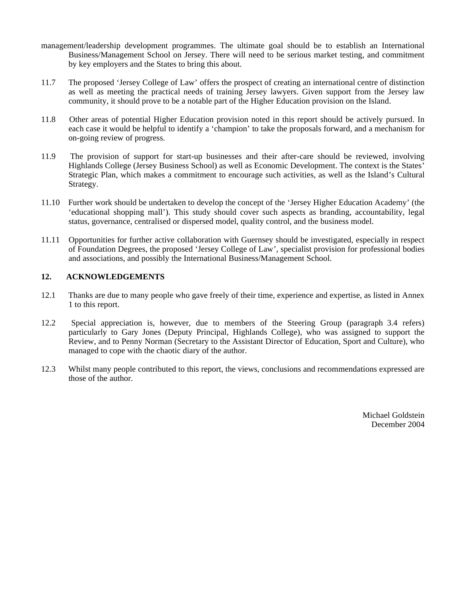- management/leadership development programmes. The ultimate goal should be to establish an International Business/Management School on Jersey. There will need to be serious market testing, and commitment by key employers and the States to bring this about.
- 11.7 The proposed 'Jersey College of Law' offers the prospect of creating an international centre of distinction as well as meeting the practical needs of training Jersey lawyers. Given support from the Jersey law community, it should prove to be a notable part of the Higher Education provision on the Island.
- 11.8 Other areas of potential Higher Education provision noted in this report should be actively pursued. In each case it would be helpful to identify a 'champion' to take the proposals forward, and a mechanism for on-going review of progress.
- 11.9 The provision of support for start-up businesses and their after-care should be reviewed, involving Highlands College (Jersey Business School) as well as Economic Development. The context is the States' Strategic Plan, which makes a commitment to encourage such activities, as well as the Island's Cultural Strategy.
- 11.10 Further work should be undertaken to develop the concept of the 'Jersey Higher Education Academy' (the 'educational shopping mall'). This study should cover such aspects as branding, accountability, legal status, governance, centralised or dispersed model, quality control, and the business model.
- 11.11 Opportunities for further active collaboration with Guernsey should be investigated, especially in respect of Foundation Degrees, the proposed 'Jersey College of Law', specialist provision for professional bodies and associations, and possibly the International Business/Management School.

#### **12. ACKNOWLEDGEMENTS**

- 12.1 Thanks are due to many people who gave freely of their time, experience and expertise, as listed in Annex 1 to this report.
- 12.2 Special appreciation is, however, due to members of the Steering Group (paragraph 3.4 refers), particularly to Gary Jones (Deputy Principal, Highlands College), who was assigned to support the Review, and to Penny Norman (Secretary to the Assistant Director of Education, Sport and Culture), who managed to cope with the chaotic diary of the author.
- 12.3 Whilst many people contributed to this report, the views, conclusions and recommendations expressed are those of the author.

Michael Goldstein December 2004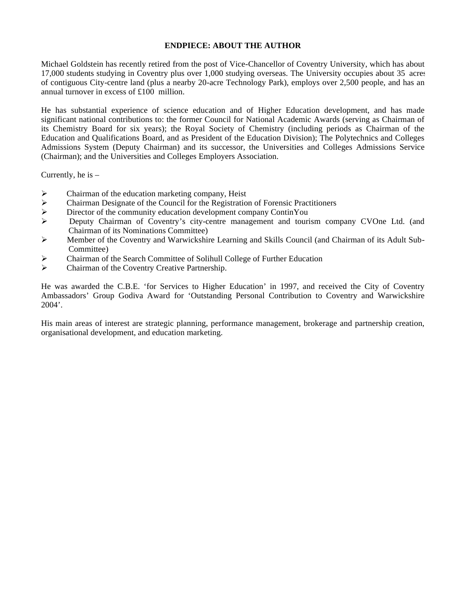#### **ENDPIECE: ABOUT THE AUTHOR**

Michael Goldstein has recently retired from the post of Vice-Chancellor of Coventry University, which has about 17,000 students studying in Coventry plus over 1,000 studying overseas. The University occupies about 35 acres of contiguous City-centre land (plus a nearby 20-acre Technology Park), employs over 2,500 people, and has an annual turnover in excess of £100 million.

He has substantial experience of science education and of Higher Education development, and has made significant national contributions to: the former Council for National Academic Awards (serving as Chairman of its Chemistry Board for six years); the Royal Society of Chemistry (including periods as Chairman of the Education and Qualifications Board, and as President of the Education Division); The Polytechnics and Colleges Admissions System (Deputy Chairman) and its successor, the Universities and Colleges Admissions Service (Chairman); and the Universities and Colleges Employers Association.

Currently, he is –

- $\triangleright$  Chairman of the education marketing company, Heist
- $\triangleright$  Chairman Designate of the Council for the Registration of Forensic Practitioners
- $\triangleright$  Director of the community education development company ContinYou Deputy Chairman of Coventry's city-centre management and touri
- Deputy Chairman of Coventry's city-centre management and tourism company CVOne Ltd. (and Chairman of its Nominations Committee)
- $\triangleright$  Member of the Coventry and Warwickshire Learning and Skills Council (and Chairman of its Adult Sub-Committee)
- Chairman of the Search Committee of Solihull College of Further Education
- Chairman of the Coventry Creative Partnership.

He was awarded the C.B.E. 'for Services to Higher Education' in 1997, and received the City of Coventry Ambassadors' Group Godiva Award for 'Outstanding Personal Contribution to Coventry and Warwickshire 2004'.

His main areas of interest are strategic planning, performance management, brokerage and partnership creation, organisational development, and education marketing.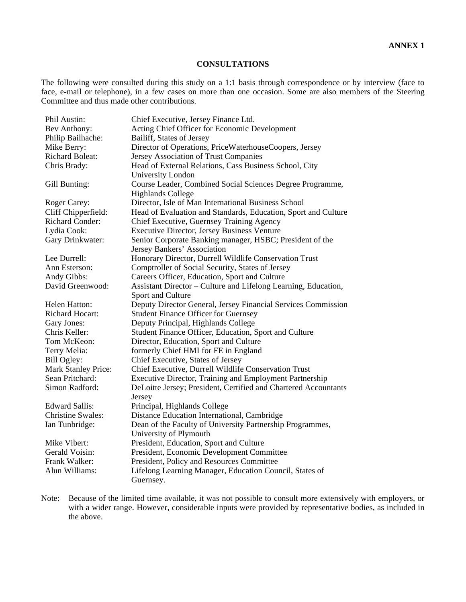#### **CONSULTATIONS**

The following were consulted during this study on a 1:1 basis through correspondence or by interview (face to face, e-mail or telephone), in a few cases on more than one occasion. Some are also members of the Steering Committee and thus made other contributions.

| Phil Austin:             | Chief Executive, Jersey Finance Ltd.                            |
|--------------------------|-----------------------------------------------------------------|
| Bev Anthony:             | Acting Chief Officer for Economic Development                   |
| Philip Bailhache:        | Bailiff, States of Jersey                                       |
| Mike Berry:              | Director of Operations, PriceWaterhouseCoopers, Jersey          |
| <b>Richard Boleat:</b>   | Jersey Association of Trust Companies                           |
| Chris Brady:             | Head of External Relations, Cass Business School, City          |
|                          | University London                                               |
| Gill Bunting:            | Course Leader, Combined Social Sciences Degree Programme,       |
|                          | <b>Highlands College</b>                                        |
| Roger Carey:             | Director, Isle of Man International Business School             |
| Cliff Chipperfield:      | Head of Evaluation and Standards, Education, Sport and Culture  |
| <b>Richard Conder:</b>   | Chief Executive, Guernsey Training Agency                       |
| Lydia Cook:              | Executive Director, Jersey Business Venture                     |
| Gary Drinkwater:         | Senior Corporate Banking manager, HSBC; President of the        |
|                          | Jersey Bankers' Association                                     |
| Lee Durrell:             | Honorary Director, Durrell Wildlife Conservation Trust          |
| Ann Esterson:            | Comptroller of Social Security, States of Jersey                |
| Andy Gibbs:              | Careers Officer, Education, Sport and Culture                   |
| David Greenwood:         | Assistant Director - Culture and Lifelong Learning, Education,  |
|                          | Sport and Culture                                               |
| Helen Hatton:            | Deputy Director General, Jersey Financial Services Commission   |
| <b>Richard Hocart:</b>   | <b>Student Finance Officer for Guernsey</b>                     |
| Gary Jones:              | Deputy Principal, Highlands College                             |
| Chris Keller:            | Student Finance Officer, Education, Sport and Culture           |
| Tom McKeon:              | Director, Education, Sport and Culture                          |
| Terry Melia:             | formerly Chief HMI for FE in England                            |
| Bill Ogley:              | Chief Executive, States of Jersey                               |
| Mark Stanley Price:      | Chief Executive, Durrell Wildlife Conservation Trust            |
| Sean Pritchard:          | <b>Executive Director, Training and Employment Partnership</b>  |
| Simon Radford:           | DeLoitte Jersey; President, Certified and Chartered Accountants |
|                          | Jersey                                                          |
| <b>Edward Sallis:</b>    | Principal, Highlands College                                    |
| <b>Christine Swales:</b> | Distance Education International, Cambridge                     |
| Ian Tunbridge:           | Dean of the Faculty of University Partnership Programmes,       |
|                          | University of Plymouth                                          |
| Mike Vibert:             | President, Education, Sport and Culture                         |
| Gerald Voisin:           | President, Economic Development Committee                       |
| Frank Walker:            | President, Policy and Resources Committee                       |
| Alun Williams:           | Lifelong Learning Manager, Education Council, States of         |
|                          | Guernsey.                                                       |

Note: Because of the limited time available, it was not possible to consult more extensively with employers, or with a wider range. However, considerable inputs were provided by representative bodies, as included in the above.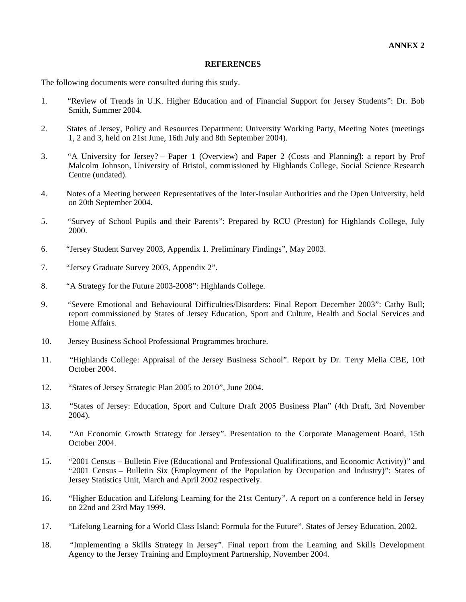#### **REFERENCES**

The following documents were consulted during this study.

- 1. "Review of Trends in U.K. Higher Education and of Financial Support for Jersey Students": Dr. Bob Smith, Summer 2004.
- 2. States of Jersey, Policy and Resources Department: University Working Party, Meeting Notes (meetings 1, 2 and 3, held on 21st June, 16th July and 8th September 2004).
- 3. "A University for Jersey? Paper 1 (Overview) and Paper 2 (Costs and Planning)": a report by Prof Malcolm Johnson, University of Bristol, commissioned by Highlands College, Social Science Research Centre (undated).
- 4. Notes of a Meeting between Representatives of the Inter-Insular Authorities and the Open University, held on 20th September 2004.
- 5. "Survey of School Pupils and their Parents": Prepared by RCU (Preston) for Highlands College, July 2000.
- 6. "Jersey Student Survey 2003, Appendix 1. Preliminary Findings", May 2003.
- 7. "Jersey Graduate Survey 2003, Appendix 2".
- 8. "A Strategy for the Future 2003-2008": Highlands College.
- 9. "Severe Emotional and Behavioural Difficulties/Disorders: Final Report December 2003": Cathy Bull; report commissioned by States of Jersey Education, Sport and Culture, Health and Social Services and Home Affairs.
- 10. Jersey Business School Professional Programmes brochure.
- 11. "Highlands College: Appraisal of the Jersey Business School". Report by Dr. Terry Melia CBE, 10th October 2004.
- 12. "States of Jersey Strategic Plan 2005 to 2010", June 2004.
- 13. "States of Jersey: Education, Sport and Culture Draft 2005 Business Plan" (4th Draft, 3rd November 2004).
- 14. "An Economic Growth Strategy for Jersey". Presentation to the Corporate Management Board, 15th October 2004.
- 15. "2001 Census Bulletin Five (Educational and Professional Qualifications, and Economic Activity)" and "2001 Census – Bulletin Six (Employment of the Population by Occupation and Industry)": States of Jersey Statistics Unit, March and April 2002 respectively.
- 16. "Higher Education and Lifelong Learning for the 21st Century". A report on a conference held in Jersey on 22nd and 23rd May 1999.
- 17. "Lifelong Learning for a World Class Island: Formula for the Future". States of Jersey Education, 2002.
- 18. "Implementing a Skills Strategy in Jersey". Final report from the Learning and Skills Development Agency to the Jersey Training and Employment Partnership, November 2004.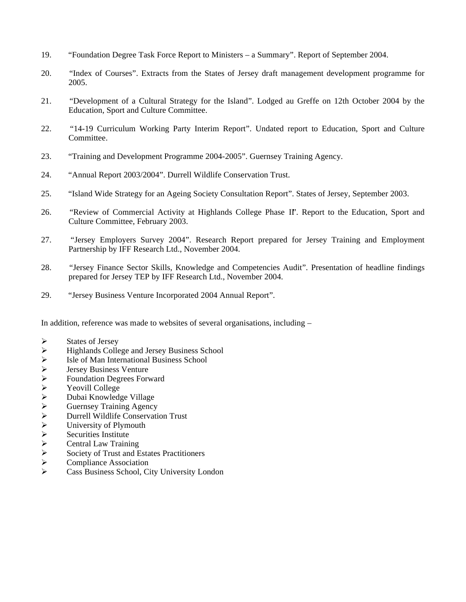- 19. "Foundation Degree Task Force Report to Ministers a Summary". Report of September 2004.
- 20. "Index of Courses". Extracts from the States of Jersey draft management development programme for 2005.
- 21. "Development of a Cultural Strategy for the Island". Lodged au Greffe on 12th October 2004 by the Education, Sport and Culture Committee.
- 22. "14-19 Curriculum Working Party Interim Report". Undated report to Education, Sport and Culture Committee.
- 23. "Training and Development Programme 2004-2005". Guernsey Training Agency.
- 24. "Annual Report 2003/2004". Durrell Wildlife Conservation Trust.
- 25. "Island Wide Strategy for an Ageing Society Consultation Report". States of Jersey, September 2003.
- 26. "Review of Commercial Activity at Highlands College Phase II". Report to the Education, Sport and Culture Committee, February 2003.
- 27. "Jersey Employers Survey 2004". Research Report prepared for Jersey Training and Employment Partnership by IFF Research Ltd., November 2004.
- 28. "Jersey Finance Sector Skills, Knowledge and Competencies Audit". Presentation of headline findings prepared for Jersey TEP by IFF Research Ltd., November 2004.
- 29. "Jersey Business Venture Incorporated 2004 Annual Report".

In addition, reference was made to websites of several organisations, including –

- 
- Highlands College and Jersey Business School
- Isle of Man International Business School
- Jersey Business Venture
- Foundation Degrees Forward
- Yeovill College
- Dubai Knowledge Village
- Guernsey Training Agency
- Durrell Wildlife Conservation Trust
- States of Jersey<br>
Highlands Colle<br>
Isle of Man Inte<br>
Jersey Business<br>
Foundation Deg<br>
Yeovill College<br>
Dubai Knowled<br>
Ouernsey Traini<br>
Durrell Wildlife<br>
University of Pl<br>
Securities Institute<br>
Central Law Trans<br>
Securities University of Plymouth
- Securities Institute
- Central Law Training
- Society of Trust and Estates Practitioners
- Compliance Association
- Cass Business School, City University London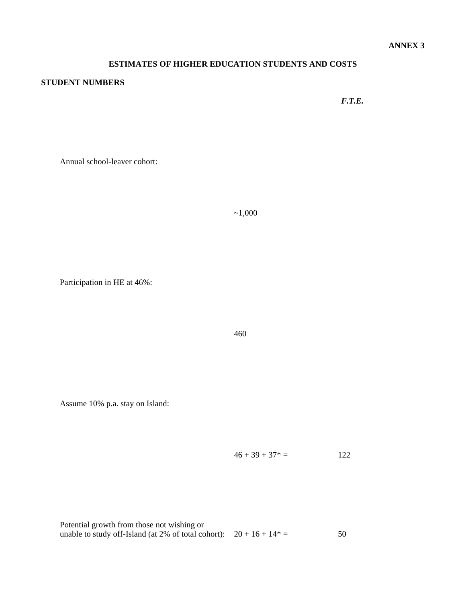### **ESTIMATES OF HIGHER EDUCATION STUDENTS AND COSTS**

#### **STUDENT NUMBERS**

*F.T.E.*

Annual school-leaver cohort:

 $~1,000$ 

Participation in HE at 46%:

460

Assume 10% p.a. stay on Island:

 $46 + 39 + 37^* = 122$ 

| Potential growth from those not wishing or                             |    |
|------------------------------------------------------------------------|----|
| unable to study off-Island (at 2% of total cohort): $20 + 16 + 14^* =$ | 50 |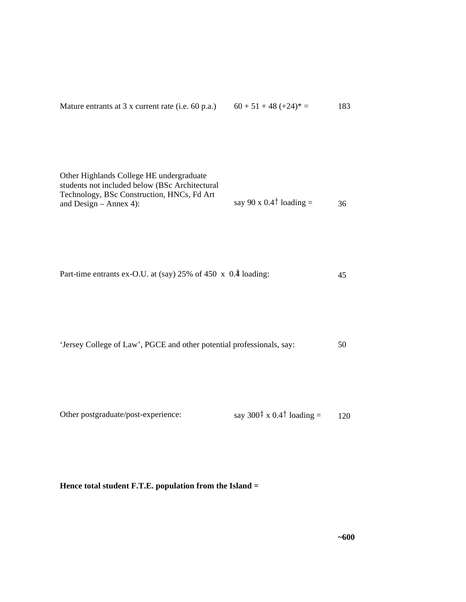| Mature entrants at $3x$ current rate (i.e. 60 p.a.) | $60 + 51 + 48 (+24)^* =$ | 183 |
|-----------------------------------------------------|--------------------------|-----|
|-----------------------------------------------------|--------------------------|-----|

| Other Highlands College HE undergraduate       |                                                        |    |
|------------------------------------------------|--------------------------------------------------------|----|
| students not included below (BSc Architectural |                                                        |    |
| Technology, BSc Construction, HNCs, Fd Art     |                                                        |    |
| and Design $-$ Annex 4):                       | say 90 x 0.4 <sup><math>\dagger</math></sup> loading = | 36 |
|                                                |                                                        |    |

| Part-time entrants ex-O.U. at (say) 25% of 450 x 0.4 loading: |  |
|---------------------------------------------------------------|--|
|---------------------------------------------------------------|--|

|  | 'Jersey College of Law', PGCE and other potential professionals, say: |  |
|--|-----------------------------------------------------------------------|--|
|--|-----------------------------------------------------------------------|--|

| Other postgraduate/post-experience: | say 300 <sup><math>\pm</math></sup> x 0.4 <sup><math>\pm</math></sup> loading = | 120 |
|-------------------------------------|---------------------------------------------------------------------------------|-----|

**Hence total student F.T.E. population from the Island =**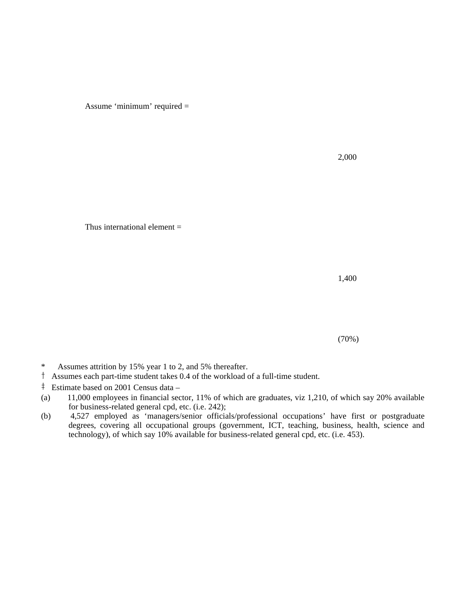Assume 'minimum' required =

2,000

Thus international element  $=$ 

1,400

(70%)

- \* Assumes attrition by 15% year 1 to 2, and 5% thereafter.
- † Assumes each part-time student takes 0.4 of the workload of a full-time student.
- ‡ Estimate based on 2001 Census data –
- (a) 11,000 employees in financial sector, 11% of which are graduates, viz 1,210, of which say 20% available for business-related general cpd, etc. (i.e. 242);
- (b) 4,527 employed as 'managers/senior officials/professional occupations' have first or postgraduate degrees, covering all occupational groups (government, ICT, teaching, business, health, science and technology), of which say 10% available for business-related general cpd, etc. (i.e. 453).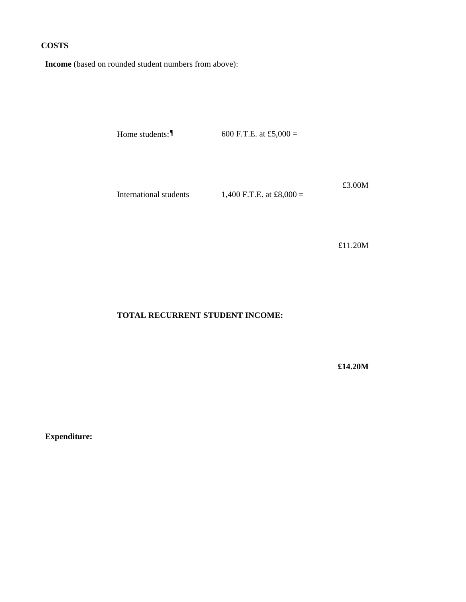#### **COSTS**

**Income** (based on rounded student numbers from above):

Home students:  $\blacksquare$  600 F.T.E. at £5,000 =

International students  $1,400$  F.T.E. at £8,000 =

£3.00M

£11.20M

#### **TOTAL RECURRENT STUDENT INCOME:**

**£14.20M**

**Expenditure:**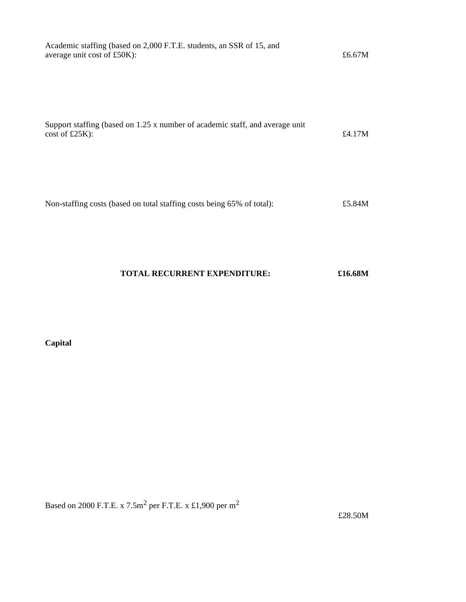| Academic staffing (based on 2,000 F.T.E. students, an SSR of 15, and<br>average unit cost of £50K): | £6.67 $M$ |
|-----------------------------------------------------------------------------------------------------|-----------|
|                                                                                                     |           |
| Support staffing (based on 1.25 x number of academic staff, and average unit<br>$\cos t$ of £25K):  | £4.17 $M$ |
| Non-staffing costs (based on total staffing costs being 65% of total):                              | £5.84M    |

### **TOTAL RECURRENT EXPENDITURE: £16.68M**

**Capital**

Based on 2000 F.T.E. x 7.5m<sup>2</sup> per F.T.E. x £1,900 per m<sup>2</sup>

£28.50M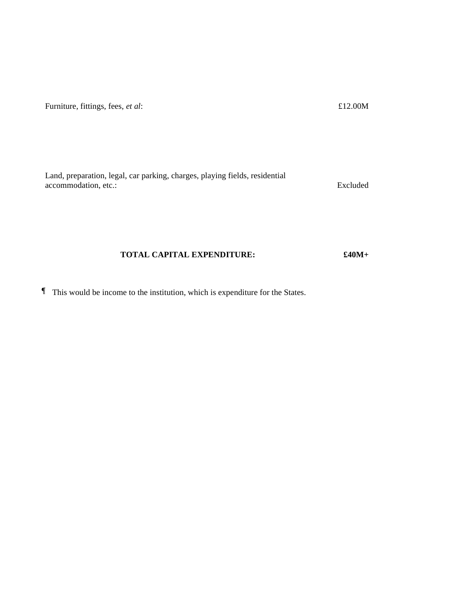| Land, preparation, legal, car parking, charges, playing fields, residential |          |
|-----------------------------------------------------------------------------|----------|
| accommodation, etc.:                                                        | Excluded |

Furniture, fittings, fees, *et al*:  $\pounds12.00M$ 

#### **TOTAL CAPITAL EXPENDITURE: £40M+**

¶ This would be income to the institution, which is expenditure for the States.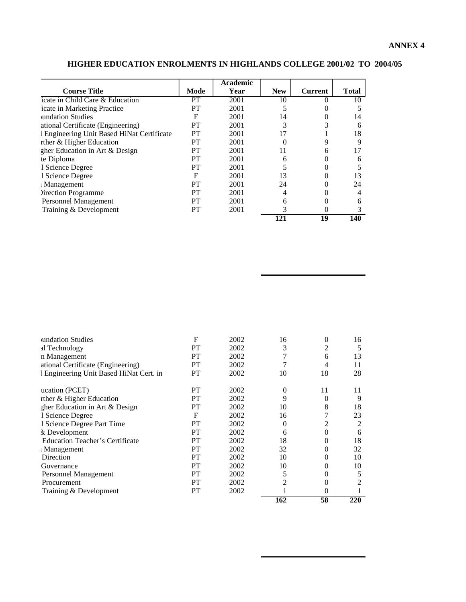|                                            |      | <b>Academic</b> |            |                |              |
|--------------------------------------------|------|-----------------|------------|----------------|--------------|
| <b>Course Title</b>                        | Mode | Year            | <b>New</b> | <b>Current</b> | <b>Total</b> |
| icate in Child Care & Education            | PТ   | 2001            | 10         |                | 10           |
| icate in Marketing Practice                | PТ   | 2001            |            |                |              |
| <b>undation Studies</b>                    | F    | 2001            | 14         |                | 14           |
| ational Certificate (Engineering)          | PT   | 2001            | 3          |                | 6            |
| l Engineering Unit Based HiNat Certificate | PT   | 2001            | 17         |                | 18           |
| rther & Higher Education                   | PT   | 2001            |            |                |              |
| gher Education in Art & Design             | PТ   | 2001            | 11         | 6              |              |
| te Diploma                                 | PT   | 2001            | 6          |                | 6            |
| 1 Science Degree                           | PT   | 2001            |            |                |              |
| 1 Science Degree                           | F    | 2001            | 13         |                | 13           |
| <b>Management</b>                          | PT   | 2001            | 24         |                | 24           |
| <b>Direction Programme</b>                 | PT   | 2001            | 4          |                |              |
| Personnel Management                       | PT   | 2001            | 6          |                | 6            |
| Training & Development                     | PТ   | 2001            |            | 0              |              |
|                                            |      |                 | 121        | 19             | 140          |

### **HIGHER EDUCATION ENROLMENTS IN HIGHLANDS COLLEGE 2001/02 TO 2004/05**

| PT          | 2002      |    | 0  |                |
|-------------|-----------|----|----|----------------|
|             |           |    |    |                |
|             | 2002      | 2  | 0  | $\mathfrak{D}$ |
| PT          | 2002      | 5  |    | 5              |
| <b>PT</b>   | 2002      | 10 | 0  | 10             |
| PT          | 2002      | 10 | 0  | 10             |
| PТ          | 2002      | 32 | 0  | 32             |
| PT          | 2002      | 18 | 0  | 18             |
| PТ          | 2002      | 6  | 0  | 6              |
| <b>PT</b>   | 2002      | 0  | 2  | 2              |
| $\mathbf F$ | 2002      | 16 |    | 23             |
| PТ          | 2002      | 10 | 8  | 18             |
| PT          | 2002      | 9  | 0  | 9              |
| PT          | 2002      | 0  | 11 | 11             |
| <b>PT</b>   | 2002      | 10 | 18 | 28             |
| PT          | 2002      | 7  | 4  | 11             |
| PT          | 2002      | 7  | 6  | 13             |
| <b>PT</b>   | 2002      | 3  | 2  | 5              |
| F           | 2002      | 16 | 0  | 16             |
|             | <b>PT</b> |    |    |                |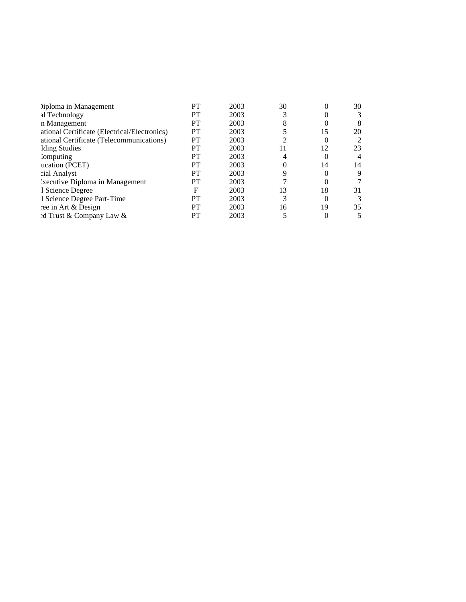| Diploma in Management                        | PT | 2003 | 30 |    | 30             |
|----------------------------------------------|----|------|----|----|----------------|
| al Technology                                | PT | 2003 |    |    | 3              |
| n Management                                 | PT | 2003 | 8  |    | 8              |
| ational Certificate (Electrical/Electronics) | PТ | 2003 |    | 15 | 20             |
| ational Certificate (Telecommunications)     | PT | 2003 |    |    | 2              |
| Iding Studies                                | PТ | 2003 | 11 |    | 23             |
| <i>c</i> <sub>c</sub> computing              | PТ | 2003 |    |    | $\overline{4}$ |
| ucation (PCET)                               | PТ | 2003 |    | 14 | 14             |
| cial Analyst                                 | PТ | 2003 |    |    | 9              |
| <i>Executive Diploma in Management</i>       | PT | 2003 |    |    |                |
| 1 Science Degree                             | F  | 2003 | 13 | 18 | 31             |
| 1 Science Degree Part-Time                   | PТ | 2003 |    | 0  | 3              |
| ree in Art & Design                          | PТ | 2003 | 16 | 19 | 35             |
| ed Trust & Company Law &                     | PT | 2003 |    |    |                |
|                                              |    |      |    |    |                |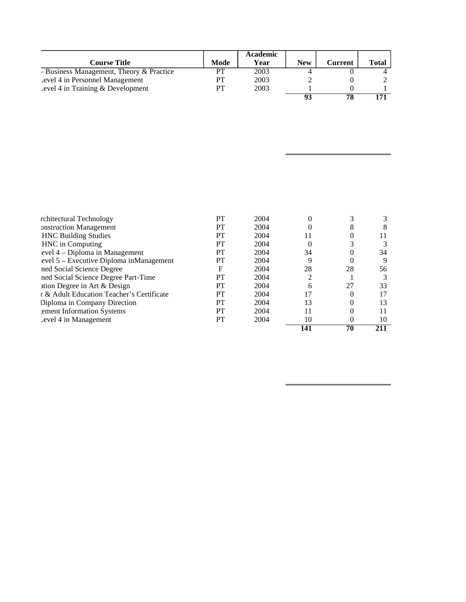|                                          |      | Academic |            |         |              |
|------------------------------------------|------|----------|------------|---------|--------------|
| <b>Course Title</b>                      | Mode | Year     | <b>New</b> | Current | <b>Total</b> |
| - Business Management, Theory & Practice | PТ   | 2003     |            |         |              |
| Level 4 in Personnel Management          | PТ   | 2003     |            |         |              |
| Level 4 in Training $&$ Development      | PT   | 2003     |            |         |              |
|                                          |      |          | 02         | 78      | 171          |

|                                           |    |      |                | 70 |    |
|-------------------------------------------|----|------|----------------|----|----|
| Level 4 in Management                     | PT | 2004 | 10             | 0  | 10 |
| ement Information Systems                 | PT | 2004 |                |    |    |
| Diploma in Company Direction              | PT | 2004 | 13             |    |    |
| r & Adult Education Teacher's Certificate | PT | 2004 | 17             |    |    |
| ation Degree in Art & Design              | PT | 2004 | 6              | 27 | 33 |
| ned Social Science Degree Part-Time       | PT | 2004 | $\mathfrak{D}$ |    |    |
| ned Social Science Degree                 | F  | 2004 | 28             | 28 | 56 |
| evel 5 – Executive Diploma in Management  | PT | 2004 | 9              |    |    |
| evel 4 – Diploma in Management            | PT | 2004 | 34             |    | 34 |
| HNC in Computing                          | PT | 2004 | 0              |    |    |
| <b>HNC Building Studies</b>               | PT | 2004 |                |    |    |
| onstruction Management                    | PT | 2004 |                |    |    |
| rchitectural Technology                   | PT | 2004 | $_{0}$         |    |    |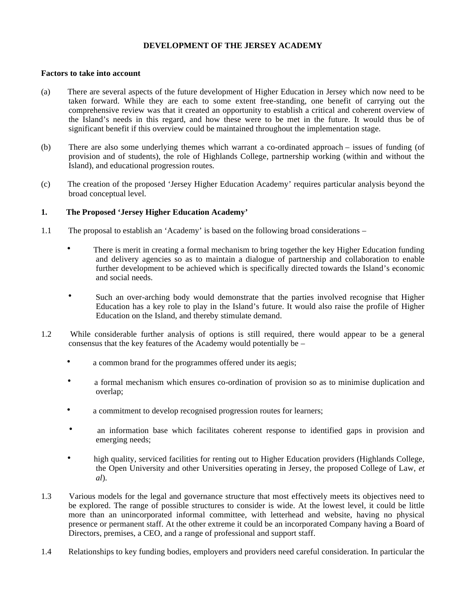#### **DEVELOPMENT OF THE JERSEY ACADEMY**

#### **Factors to take into account**

- (a) There are several aspects of the future development of Higher Education in Jersey which now need to be taken forward. While they are each to some extent free-standing, one benefit of carrying out the comprehensive review was that it created an opportunity to establish a critical and coherent overview of the Island's needs in this regard, and how these were to be met in the future. It would thus be of significant benefit if this overview could be maintained throughout the implementation stage.
- (b) There are also some underlying themes which warrant a co-ordinated approach issues of funding (of provision and of students), the role of Highlands College, partnership working (within and without the Island), and educational progression routes.
- (c) The creation of the proposed 'Jersey Higher Education Academy' requires particular analysis beyond the broad conceptual level.

#### **1. The Proposed 'Jersey Higher Education Academy'**

- 1.1 The proposal to establish an 'Academy' is based on the following broad considerations
	- There is merit in creating a formal mechanism to bring together the key Higher Education funding and delivery agencies so as to maintain a dialogue of partnership and collaboration to enable further development to be achieved which is specifically directed towards the Island's economic and social needs.
	- Such an over-arching body would demonstrate that the parties involved recognise that Higher Education has a key role to play in the Island's future. It would also raise the profile of Higher Education on the Island, and thereby stimulate demand.
- 1.2 While considerable further analysis of options is still required, there would appear to be a general consensus that the key features of the Academy would potentially be –
	- a common brand for the programmes offered under its aegis;
	- a formal mechanism which ensures co-ordination of provision so as to minimise duplication and overlap;
	- a commitment to develop recognised progression routes for learners;
	- an information base which facilitates coherent response to identified gaps in provision and emerging needs;
	- high quality, serviced facilities for renting out to Higher Education providers (Highlands College, the Open University and other Universities operating in Jersey, the proposed College of Law, *et al*).
- 1.3 Various models for the legal and governance structure that most effectively meets its objectives need to be explored. The range of possible structures to consider is wide. At the lowest level, it could be little more than an unincorporated informal committee, with letterhead and website, having no physical presence or permanent staff. At the other extreme it could be an incorporated Company having a Board of Directors, premises, a CEO, and a range of professional and support staff.
- 1.4 Relationships to key funding bodies, employers and providers need careful consideration. In particular the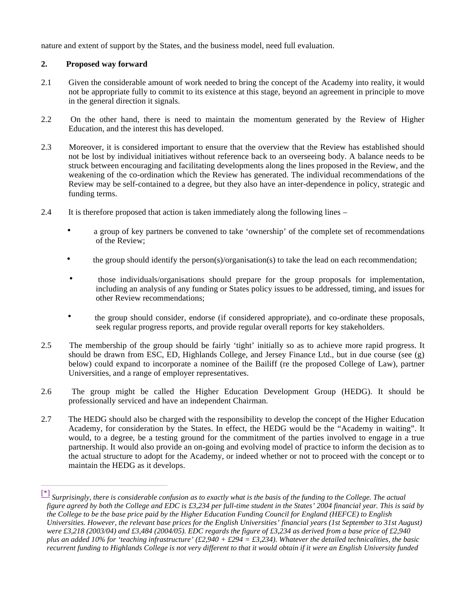nature and extent of support by the States, and the business model, need full evaluation.

#### **2. Proposed way forward**

- 2.1 Given the considerable amount of work needed to bring the concept of the Academy into reality, it would not be appropriate fully to commit to its existence at this stage, beyond an agreement in principle to move in the general direction it signals.
- 2.2 On the other hand, there is need to maintain the momentum generated by the Review of Higher Education, and the interest this has developed.
- 2.3 Moreover, it is considered important to ensure that the overview that the Review has established should not be lost by individual initiatives without reference back to an overseeing body. A balance needs to be struck between encouraging and facilitating developments along the lines proposed in the Review, and the weakening of the co-ordination which the Review has generated. The individual recommendations of the Review may be self-contained to a degree, but they also have an inter-dependence in policy, strategic and funding terms.
- 2.4 It is therefore proposed that action is taken immediately along the following lines
	- a group of key partners be convened to take 'ownership' of the complete set of recommendations of the Review;
	- the group should identify the person(s)/organisation(s) to take the lead on each recommendation;
	- those individuals/organisations should prepare for the group proposals for implementation, including an analysis of any funding or States policy issues to be addressed, timing, and issues for other Review recommendations;
	- the group should consider, endorse (if considered appropriate), and co-ordinate these proposals, seek regular progress reports, and provide regular overall reports for key stakeholders.
- 2.5 The membership of the group should be fairly 'tight' initially so as to achieve more rapid progress. It should be drawn from ESC, ED, Highlands College, and Jersey Finance Ltd., but in due course (see (g) below) could expand to incorporate a nominee of the Bailiff (re the proposed College of Law), partner Universities, and a range of employer representatives.
- 2.6 The group might be called the Higher Education Development Group (HEDG). It should be professionally serviced and have an independent Chairman.
- 2.7 The HEDG should also be charged with the responsibility to develop the concept of the Higher Education Academy, for consideration by the States. In effect, the HEDG would be the "Academy in waiting". It would, to a degree, be a testing ground for the commitment of the parties involved to engage in a true partnership. It would also provide an on-going and evolving model of practice to inform the decision as to the actual structure to adopt for the Academy, or indeed whether or not to proceed with the concept or to maintain the HEDG as it develops.

<sup>[\*]</sup> *Surprisingly, there is considerable confusion as to exactly what is the basis of the funding to the College. The actual figure agreed by both the College and EDC is £3,234 per full-time student in the States' 2004 financial year. This is said by the College to be the base price paid by the Higher Education Funding Council for England (HEFCE) to English Universities. However, the relevant base prices for the English Universities' financial years (1st September to 31st August) were £3,218 (2003/04) and £3,484 (2004/05). EDC regards the figure of £3,234 as derived from a base price of £2,940 plus an added 10% for 'teaching infrastructure' (£2,940 + £294 = £3,234). Whatever the detailed technicalities, the basic recurrent funding to Highlands College is not very different to that it would obtain if it were an English University funded*